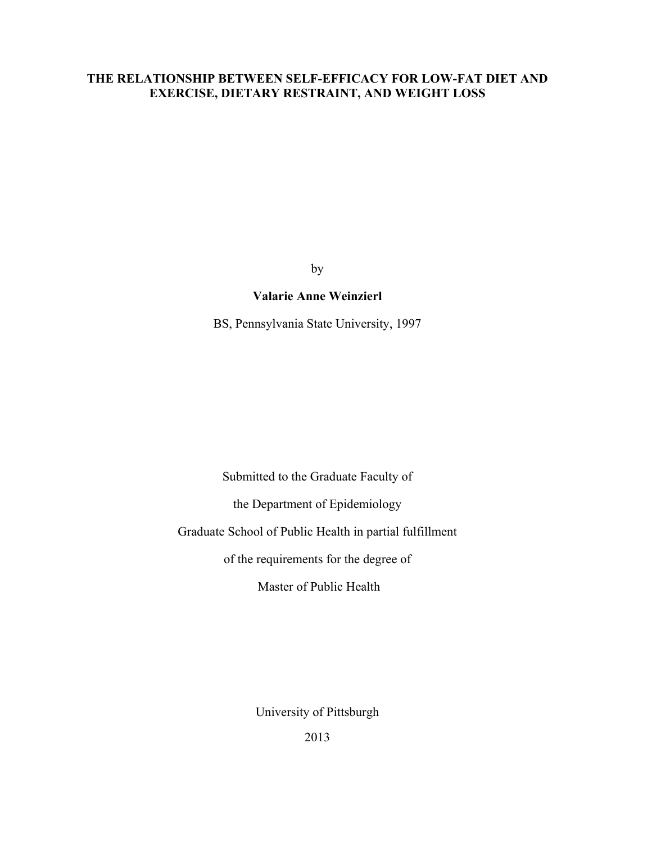# **THE RELATIONSHIP BETWEEN SELF-EFFICACY FOR LOW-FAT DIET AND EXERCISE, DIETARY RESTRAINT, AND WEIGHT LOSS**

by

# **Valarie Anne Weinzierl**

BS, Pennsylvania State University, 1997

Submitted to the Graduate Faculty of

the Department of Epidemiology

Graduate School of Public Health in partial fulfillment

of the requirements for the degree of

Master of Public Health

University of Pittsburgh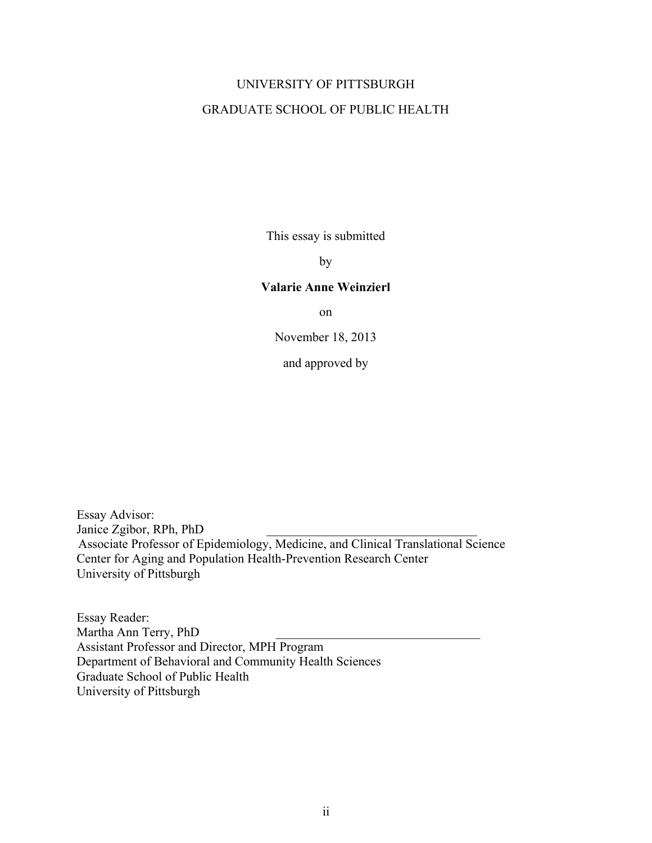# UNIVERSITY OF PITTSBURGH GRADUATE SCHOOL OF PUBLIC HEALTH

This essay is submitted

by

### **Valarie Anne Weinzierl**

on

November 18, 2013

and approved by

Essay Advisor: Janice Zgibor, RPh, PhD Associate Professor of Epidemiology, Medicine, and Clinical Translational Science Center for Aging and Population Health-Prevention Research Center University of Pittsburgh

Essay Reader: Martha Ann Terry, PhD Assistant Professor and Director, MPH Program Department of Behavioral and Community Health Sciences Graduate School of Public Health University of Pittsburgh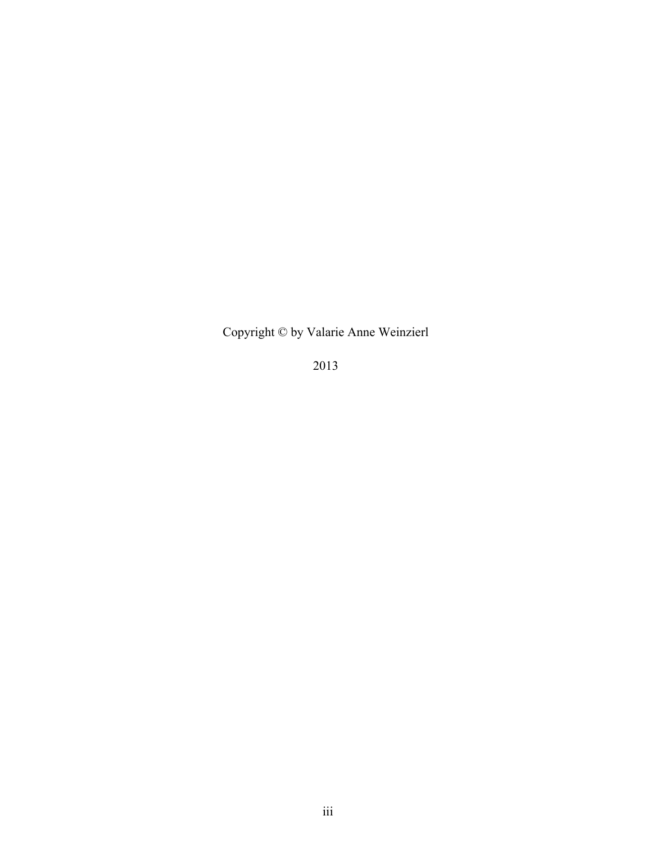Copyright © by Valarie Anne Weinzierl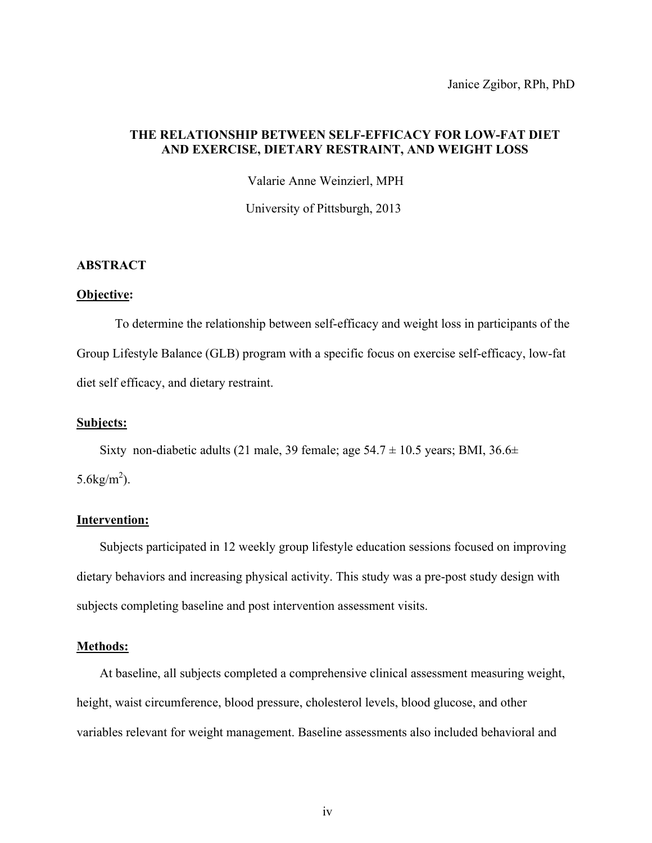Janice Zgibor, RPh, PhD

# **THE RELATIONSHIP BETWEEN SELF-EFFICACY FOR LOW-FAT DIET AND EXERCISE, DIETARY RESTRAINT, AND WEIGHT LOSS**

Valarie Anne Weinzierl, MPH

University of Pittsburgh, 2013

### **ABSTRACT**

#### **Objective :**

To determine the relationship between self-efficacy and weight loss in participants of the Group Lifestyle Balance (GLB) program with a specific focus on exercise self-efficacy, low-fat diet self efficacy, and dietary restraint.

### **Subjects:**

Sixty non-diabetic adults (21 male, 39 female; age  $54.7 \pm 10.5$  years; BMI,  $36.6 \pm$ 5.6 $kg/m^2$ ).

# **Intervention:**

Subjects participated in 12 weekly group lifestyle education sessions focused on improving dietary behaviors and increasing physical activity. This study was a pre-post study design with subjects completing baseline and post intervention assessment visits.

### **Methods:**

At baseline, all subjects completed a comprehensive clinical assessment measuring weight, height, waist circumference, blood pressure, cholesterol levels, blood glucose, and other variables relevant for weight management. Baseline assessments also included behavioral and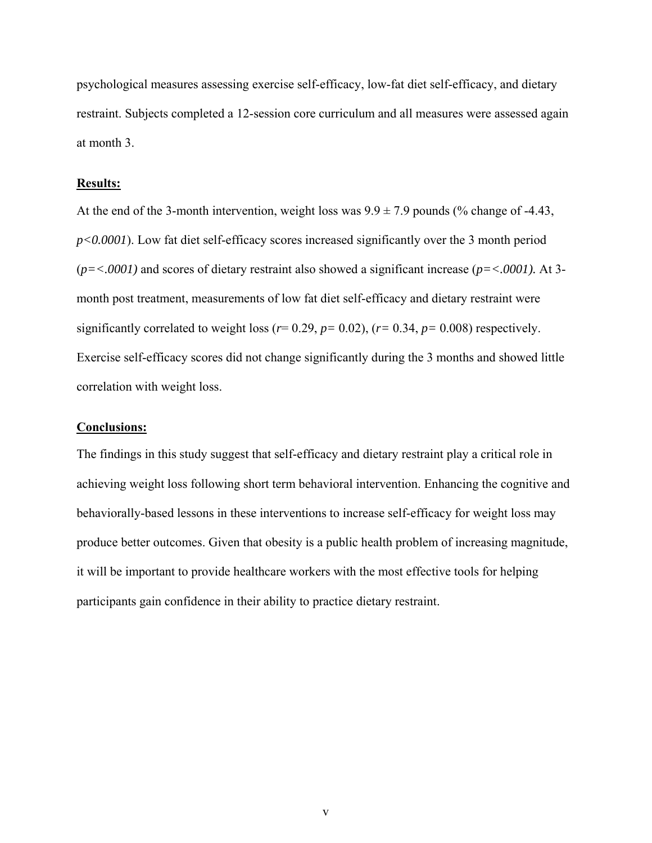psychological measures assessing exercise self-efficacy, low-fat diet self-efficacy, and dietary restraint. Subjects completed a 12-session core curriculum and all measures were assessed again at month 3.

### **Results:**

At the end of the 3-month intervention, weight loss was  $9.9 \pm 7.9$  pounds (% change of -4.43, *p<0.0001*). Low fat diet self-efficacy scores increased significantly over the 3 month period (*p=<.0001)* and scores of dietary restraint also showed a significant increase (*p=<.0001).* At 3 month post treatment, measurements of low fat diet self-efficacy and dietary restraint were significantly correlated to weight loss ( $r= 0.29$ ,  $p= 0.02$ ), ( $r= 0.34$ ,  $p= 0.008$ ) respectively. Exercise self-efficacy scores did not change significantly during the 3 months and showed little correlation with weight loss.

### **Conclusions:**

The findings in this study suggest that self-efficacy and dietary restraint play a critical role in achieving weight loss following short term behavioral intervention. Enhancing the cognitive and behaviorally-based lessons in these interventions to increase self-efficacy for weight loss may produce better outcomes. Given that obesity is a public health problem of increasing magnitude, it will be important to provide healthcare workers with the most effective tools for helping participants gain confidence in their ability to practice dietary restraint.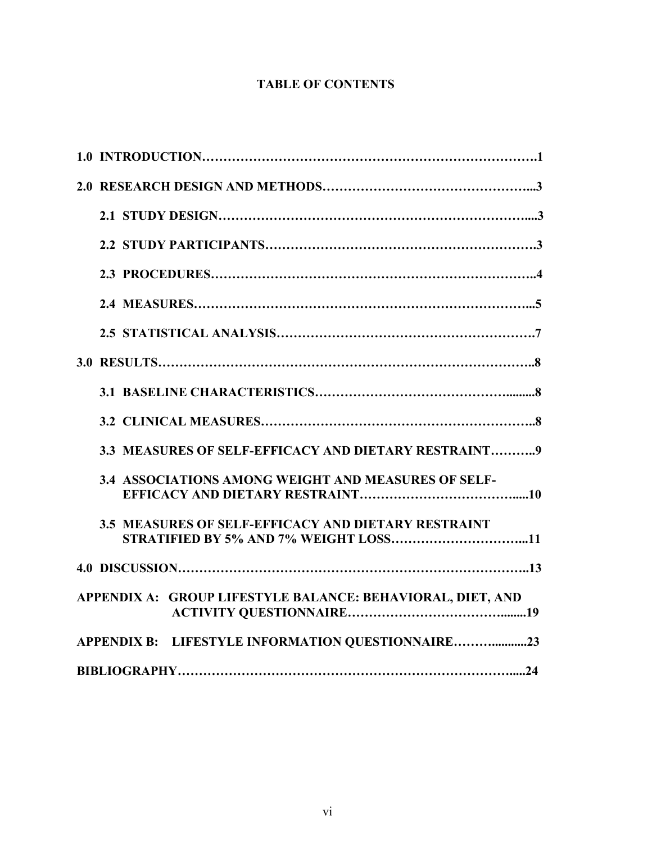# **TABLE OF CONTENTS**

| 3.3 MEASURES OF SELF-EFFICACY AND DIETARY RESTRAINT9       |
|------------------------------------------------------------|
| <b>3.4 ASSOCIATIONS AMONG WEIGHT AND MEASURES OF SELF-</b> |
| 3.5 MEASURES OF SELF-EFFICACY AND DIETARY RESTRAINT        |
|                                                            |
| APPENDIX A: GROUP LIFESTYLE BALANCE: BEHAVIORAL, DIET, AND |
| APPENDIX B: LIFESTYLE INFORMATION QUESTIONNAIRE23          |
|                                                            |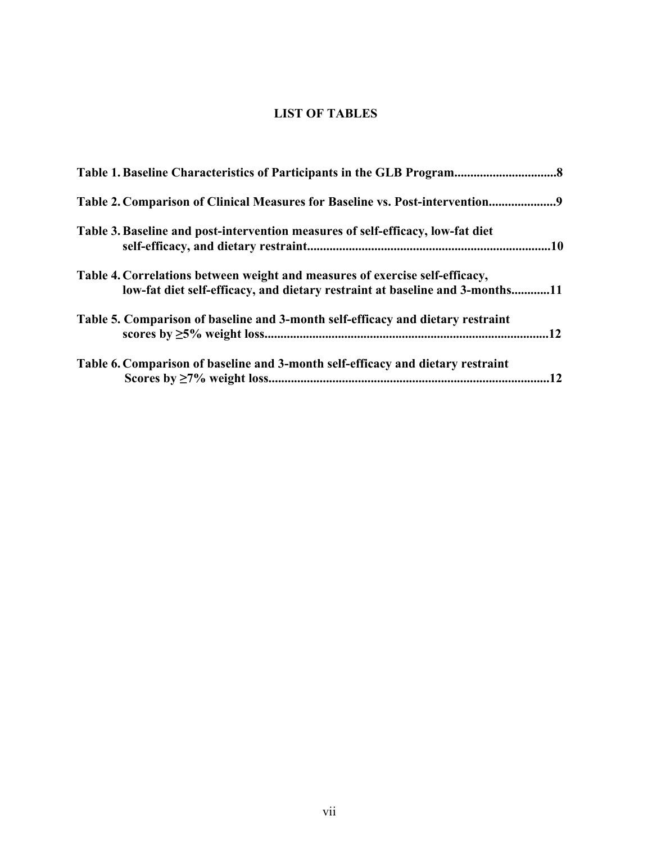# **LIST OF TABLES**

| Table 2. Comparison of Clinical Measures for Baseline vs. Post-intervention9                                                                                 |    |
|--------------------------------------------------------------------------------------------------------------------------------------------------------------|----|
| Table 3. Baseline and post-intervention measures of self-efficacy, low-fat diet                                                                              |    |
| Table 4. Correlations between weight and measures of exercise self-efficacy,<br>low-fat diet self-efficacy, and dietary restraint at baseline and 3-months11 |    |
| Table 5. Comparison of baseline and 3-month self-efficacy and dietary restraint                                                                              |    |
| Table 6. Comparison of baseline and 3-month self-efficacy and dietary restraint                                                                              | 12 |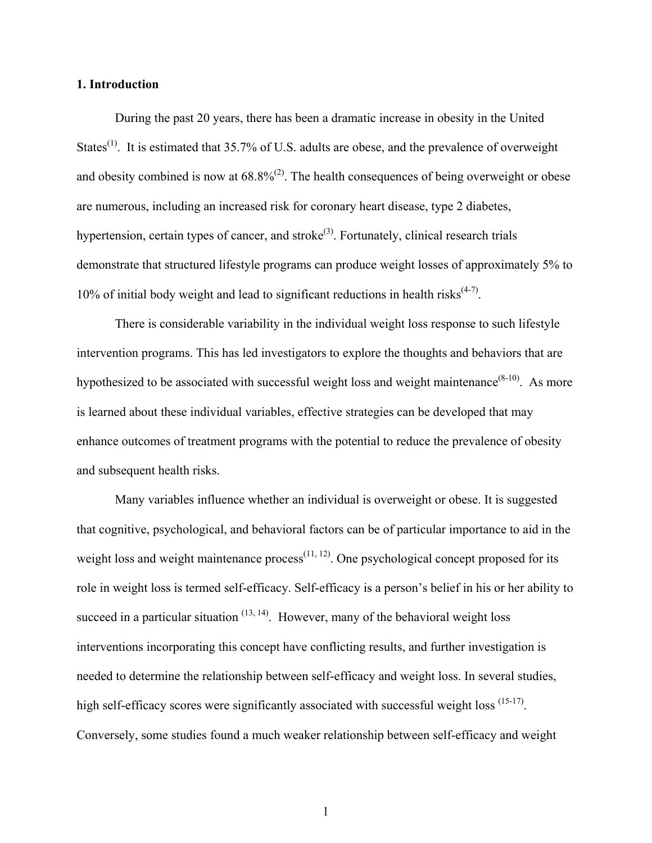#### **1. Introduction**

During the past 20 years, there has been a dramatic increase in obesity in the United States<sup>[\(1\)](#page-30-0)</sup>. It is estimated that 35.7% of U.S. adults are obese, and the prevalence of overweight and obesity combined is now at  $68.8\%^{(2)}$  $68.8\%^{(2)}$  $68.8\%^{(2)}$ . The health consequences of being overweight or obese are numerous, including an increased risk for coronary heart disease, type 2 diabetes, hypertension, certain types of cancer, and stroke<sup>[\(3\)](#page-30-2)</sup>. Fortunately, clinical research trials demonstrate that structured lifestyle programs can produce weight losses of approximately 5% to 10% of initial body weight and lead to significant reductions in health risks $(4-7)$ .

There is considerable variability in the individual weight loss response to such lifestyle intervention programs. This has led investigators to explore the thoughts and behaviors that are hypothesized to be associated with successful weight loss and weight maintenance  $(8-10)$ . As more is learned about these individual variables, effective strategies can be developed that may enhance outcomes of treatment programs with the potential to reduce the prevalence of obesity and subsequent health risks.

Many variables influence whether an individual is overweight or obese. It is suggested that cognitive, psychological, and behavioral factors can be of particular importance to aid in the weight loss and weight maintenance  $\text{process}^{(11, 12)}$  $\text{process}^{(11, 12)}$  $\text{process}^{(11, 12)}$  $\text{process}^{(11, 12)}$ . One psychological concept proposed for its role in weight loss is termed self-efficacy. Self-efficacy is a person's belief in his or her ability to succeed in a particular situation  $(13, 14)$  $(13, 14)$ . However, many of the behavioral weight loss interventions incorporating this concept have conflicting results, and further investigation is needed to determine the relationship between self-efficacy and weight loss. In several studies, high self-efficacy scores were significantly associated with successful weight loss <sup>[\(15-17\)](#page-31-3)</sup>. Conversely, some studies found a much weaker relationship between self-efficacy and weight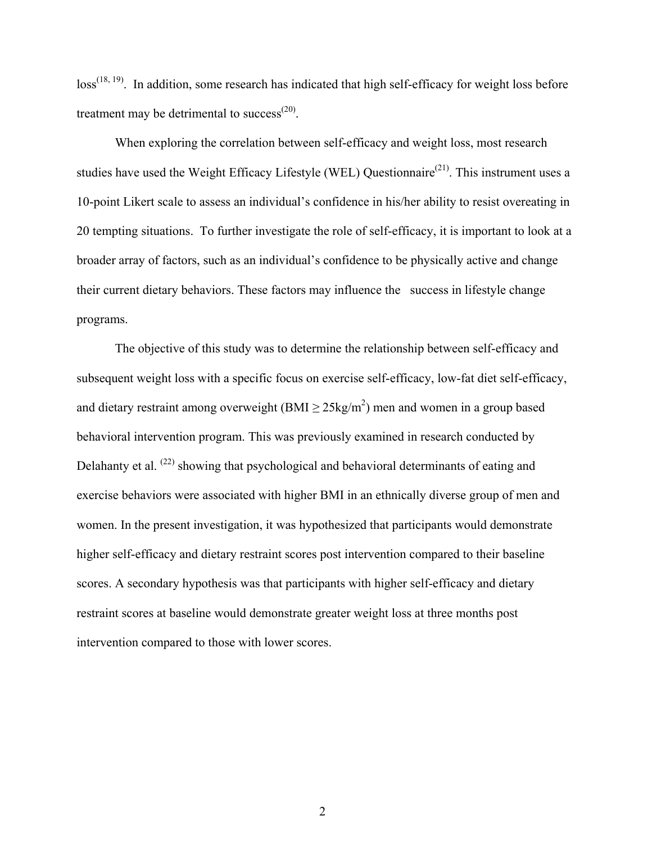$loss^{(18, 19)}$  $loss^{(18, 19)}$  $loss^{(18, 19)}$  $loss^{(18, 19)}$ . In addition, some research has indicated that high self-efficacy for weight loss before treatment may be detrimental to success<sup> $(20)$ </sup>.

When exploring the correlation between self-efficacy and weight loss, most research studies have used the Weight Efficacy Lifestyle (WEL) Questionnaire<sup>[\(21\)](#page-31-7)</sup>. This instrument uses a 10-point Likert scale to assess an individual's confidence in his/her ability to resist overeating in 20 tempting situations. To further investigate the role of self-efficacy, it is important to look at a broader array of factors, such as an individual's confidence to be physically active and change their current dietary behaviors. These factors may influence the success in lifestyle change programs.

The objective of this study was to determine the relationship between self-efficacy and subsequent weight loss with a specific focus on exercise self-efficacy, low-fat diet self-efficacy, and dietary restraint among overweight (BMI  $\geq$  25kg/m<sup>2</sup>) men and women in a group based behavioral intervention program. This was previously examined in research conducted by Delahanty et al. <sup>[\(22\)](#page-31-8)</sup> showing that psychological and behavioral determinants of eating and exercise behaviors were associated with higher BMI in an ethnically diverse group of men and women. In the present investigation, it was hypothesized that participants would demonstrate higher self-efficacy and dietary restraint scores post intervention compared to their baseline scores. A secondary hypothesis was that participants with higher self-efficacy and dietary restraint scores at baseline would demonstrate greater weight loss at three months post intervention compared to those with lower scores.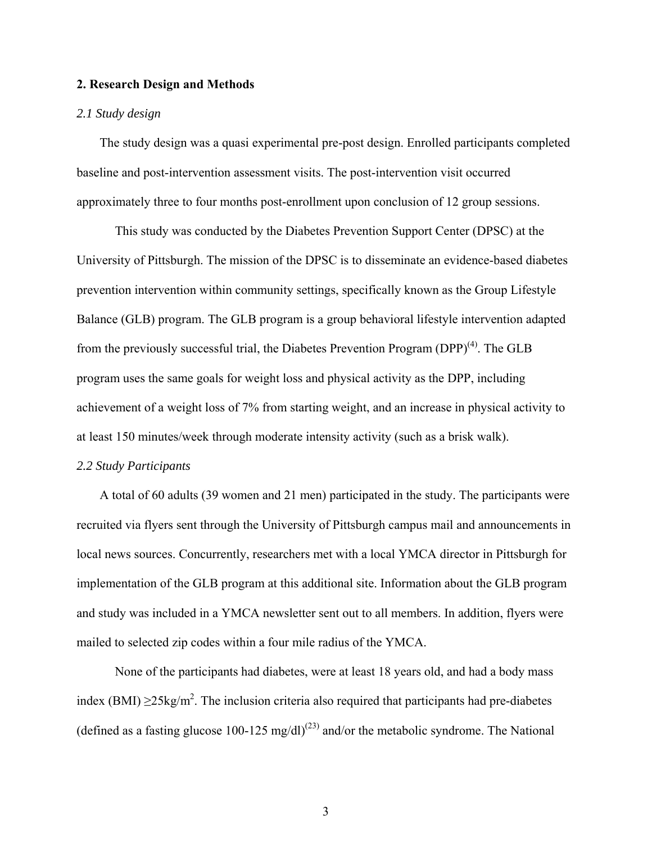### **2. Research Design and Methods**

#### *2.1 Study design*

The study design was a quasi experimental pre-post design. Enrolled participants completed baseline and post-intervention assessment visits. The post-intervention visit occurred approximately three to four months post-enrollment upon conclusion of 12 group sessions.

This study was conducted by the Diabetes Prevention Support Center (DPSC) at the University of Pittsburgh. The mission of the DPSC is to disseminate an evidence-based diabetes prevention intervention within community settings, specifically known as the Group Lifestyle Balance (GLB) program. The GLB program is a group behavioral lifestyle intervention adapted from the previously successful trial, the Diabetes Prevention Program (DPP)<sup>[\(4\)](#page-30-3)</sup>. The GLB program uses the same goals for weight loss and physical activity as the DPP, including achievement of a weight loss of 7% from starting weight, and an increase in physical activity to at least 150 minutes/week through moderate intensity activity (such as a brisk walk).

### *2.2 Study Participants*

 A total of 60 adults (39 women and 21 men) participated in the study. The participants were recruited via flyers sent through the University of Pittsburgh campus mail and announcements in local news sources. Concurrently, researchers met with a local YMCA director in Pittsburgh for implementation of the GLB program at this additional site. Information about the GLB program and study was included in a YMCA newsletter sent out to all members. In addition, flyers were mailed to selected zip codes within a four mile radius of the YMCA.

None of the participants had diabetes, were at least 18 years old, and had a body mass index (BMI)  $\geq$ 25kg/m<sup>2</sup>. The inclusion criteria also required that participants had pre-diabetes (defined as a fasting glucose 100-125 mg/dl)<sup>[\(23\)](#page-31-9)</sup> and/or the metabolic syndrome. The National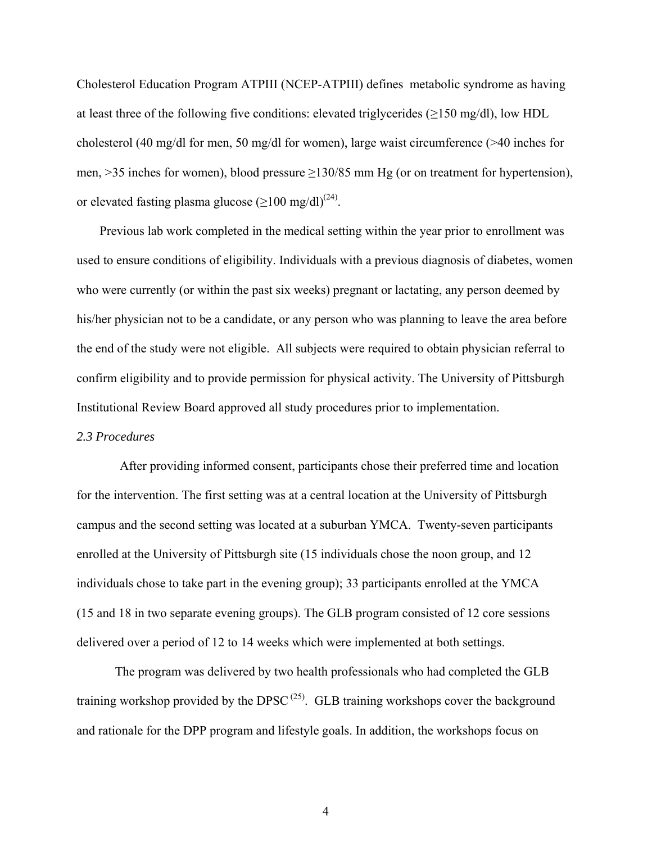Cholesterol Education Program ATPIII (NCEP-ATPIII) defines metabolic syndrome as having at least three of the following five conditions: elevated triglycerides ( $\geq$ 150 mg/dl), low HDL cholesterol (40 mg/dl for men, 50 mg/dl for women), large waist circumference (>40 inches for men, >35 inches for women), blood pressure ≥130/85 mm Hg (or on treatment for hypertension), or elevated fasting plasma glucose  $(\geq 100 \text{ mg/dl})^{(24)}$  $(\geq 100 \text{ mg/dl})^{(24)}$  $(\geq 100 \text{ mg/dl})^{(24)}$ .

Previous lab work completed in the medical setting within the year prior to enrollment was used to ensure conditions of eligibility. Individuals with a previous diagnosis of diabetes, women who were currently (or within the past six weeks) pregnant or lactating, any person deemed by his/her physician not to be a candidate, or any person who was planning to leave the area before the end of the study were not eligible. All subjects were required to obtain physician referral to confirm eligibility and to provide permission for physical activity. The University of Pittsburgh Institutional Review Board approved all study procedures prior to implementation.

#### *2.3 Procedures*

After providing informed consent, participants chose their preferred time and location for the intervention. The first setting was at a central location at the University of Pittsburgh campus and the second setting was located at a suburban YMCA. Twenty-seven participants enrolled at the University of Pittsburgh site (15 individuals chose the noon group, and 12 individuals chose to take part in the evening group); 33 participants enrolled at the YMCA (15 and 18 in two separate evening groups). The GLB program consisted of 12 core sessions delivered over a period of 12 to 14 weeks which were implemented at both settings.

The program was delivered by two health professionals who had completed the GLB training workshop provided by the DPSC<sup> $(25)$ </sup>. GLB training workshops cover the background and rationale for the DPP program and lifestyle goals. In addition, the workshops focus on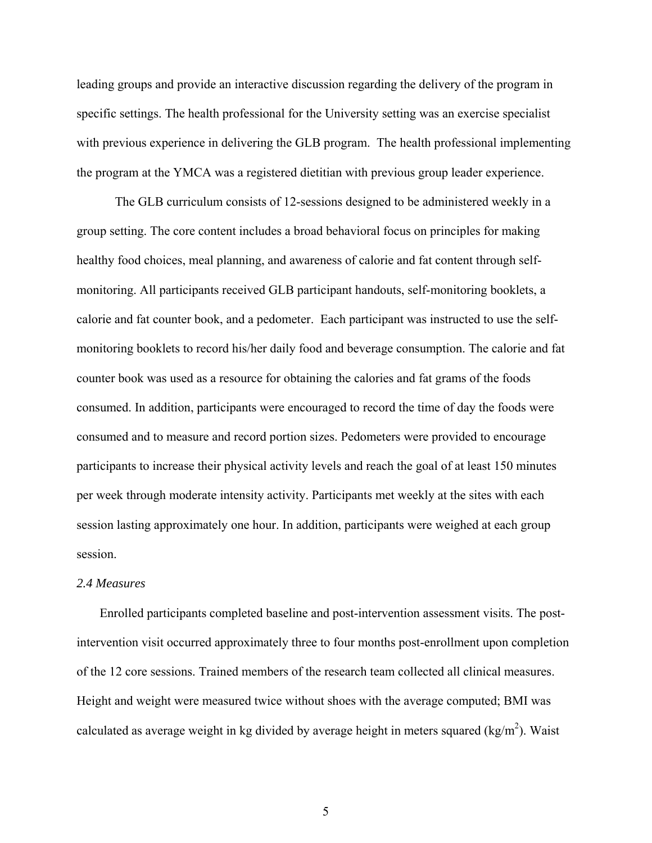leading groups and provide an interactive discussion regarding the delivery of the program in specific settings. The health professional for the University setting was an exercise specialist with previous experience in delivering the GLB program. The health professional implementing the program at the YMCA was a registered dietitian with previous group leader experience.

The GLB curriculum consists of 12-sessions designed to be administered weekly in a group setting. The core content includes a broad behavioral focus on principles for making healthy food choices, meal planning, and awareness of calorie and fat content through selfmonitoring. All participants received GLB participant handouts, self-monitoring booklets, a calorie and fat counter book, and a pedometer. Each participant was instructed to use the selfmonitoring booklets to record his/her daily food and beverage consumption. The calorie and fat counter book was used as a resource for obtaining the calories and fat grams of the foods consumed. In addition, participants were encouraged to record the time of day the foods were consumed and to measure and record portion sizes. Pedometers were provided to encourage participants to increase their physical activity levels and reach the goal of at least 150 minutes per week through moderate intensity activity. Participants met weekly at the sites with each session lasting approximately one hour. In addition, participants were weighed at each group session.

### *2.4 Measures*

 Enrolled participants completed baseline and post-intervention assessment visits. The postintervention visit occurred approximately three to four months post-enrollment upon completion of the 12 core sessions. Trained members of the research team collected all clinical measures. Height and weight were measured twice without shoes with the average computed; BMI was calculated as average weight in kg divided by average height in meters squared (kg/m<sup>2</sup>). Waist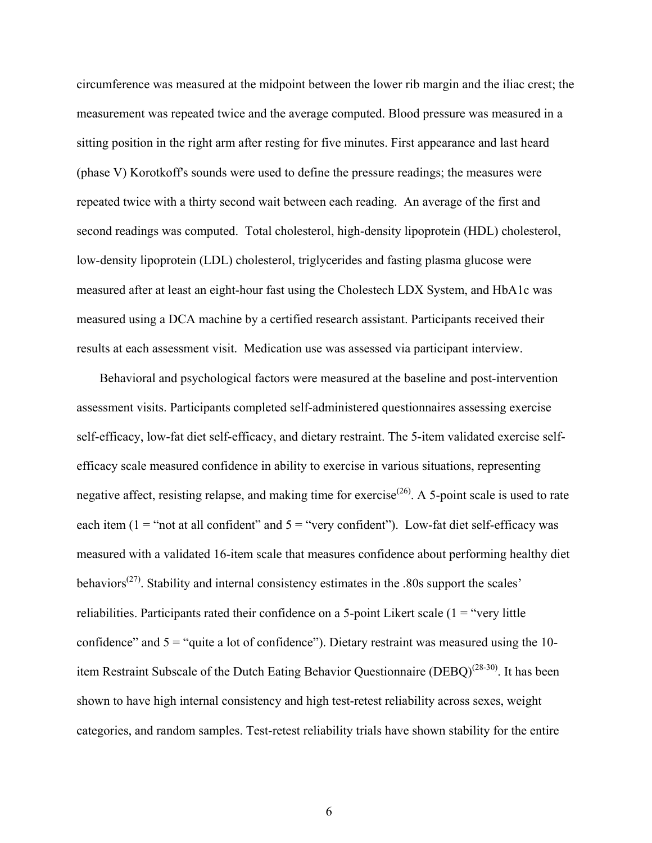circumference was measured at the midpoint between the lower rib margin and the iliac crest; the measurement was repeated twice and the average computed. Blood pressure was measured in a sitting position in the right arm after resting for five minutes. First appearance and last heard (phase V) Korotkoff's sounds were used to define the pressure readings; the measures were repeated twice with a thirty second wait between each reading. An average of the first and second readings was computed. Total cholesterol, high-density lipoprotein (HDL) cholesterol, low-density lipoprotein (LDL) cholesterol, triglycerides and fasting plasma glucose were measured after at least an eight-hour fast using the Cholestech LDX System, and HbA1c was measured using a DCA machine by a certified research assistant. Participants received their results at each assessment visit. Medication use was assessed via participant interview.

Behavioral and psychological factors were measured at the baseline and post-intervention assessment visits. Participants completed self-administered questionnaires assessing exercise self-efficacy, low-fat diet self-efficacy, and dietary restraint. The 5-item validated exercise selfefficacy scale measured confidence in ability to exercise in various situations, representing negative affect, resisting relapse, and making time for exercise<sup> $(26)$ </sup>. A 5-point scale is used to rate each item ( $1 =$ "not at all confident" and  $5 =$ "very confident"). Low-fat diet self-efficacy was measured with a validated 16-item scale that measures confidence about performing healthy diet behaviors<sup> $(27)$ </sup>. Stability and internal consistency estimates in the .80s support the scales' reliabilities. Participants rated their confidence on a 5-point Likert scale  $(1 = "very little")$ confidence" and  $5 =$  "quite a lot of confidence"). Dietary restraint was measured using the 10-item Restraint Subscale of the Dutch Eating Behavior Questionnaire (DEBQ)<sup>[\(28-30\)](#page-32-3)</sup>. It has been shown to have high internal consistency and high test-retest reliability across sexes, weight categories, and random samples. Test-retest reliability trials have shown stability for the entire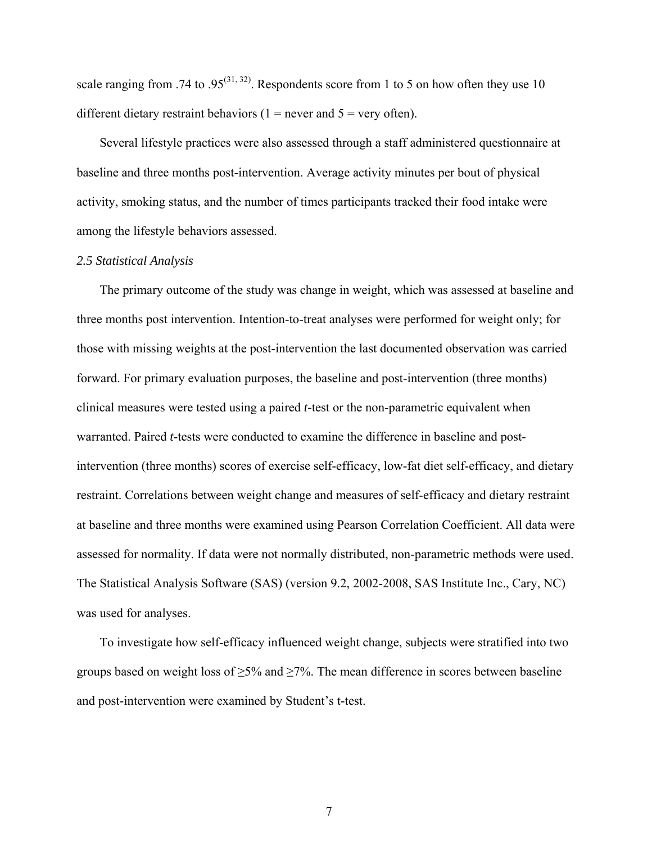scale ranging from .74 to .95<sup>[\(31,](#page-32-4) [32\)](#page-32-5)</sup>. Respondents score from 1 to 5 on how often they use 10 different dietary restraint behaviors ( $1$  = never and  $5$  = very often).

Several lifestyle practices were also assessed through a staff administered questionnaire at baseline and three months post-intervention. Average activity minutes per bout of physical activity, smoking status, and the number of times participants tracked their food intake were among the lifestyle behaviors assessed.

#### *2.5 Statistical Analysis*

 The primary outcome of the study was change in weight, which was assessed at baseline and three months post intervention. Intention-to-treat analyses were performed for weight only; for those with missing weights at the post-intervention the last documented observation was carried forward. For primary evaluation purposes, the baseline and post-intervention (three months) clinical measures were tested using a paired *t-*test or the non-parametric equivalent when warranted. Paired *t*-tests were conducted to examine the difference in baseline and postintervention (three months) scores of exercise self-efficacy, low-fat diet self-efficacy, and dietary restraint. Correlations between weight change and measures of self-efficacy and dietary restraint at baseline and three months were examined using Pearson Correlation Coefficient. All data were assessed for normality. If data were not normally distributed, non-parametric methods were used. The Statistical Analysis Software (SAS) (version 9.2, 2002-2008, SAS Institute Inc., Cary, NC) was used for analyses.

 To investigate how self-efficacy influenced weight change, subjects were stratified into two groups based on weight loss of  $\geq$ 5% and  $\geq$ 7%. The mean difference in scores between baseline and post-intervention were examined by Student's t-test.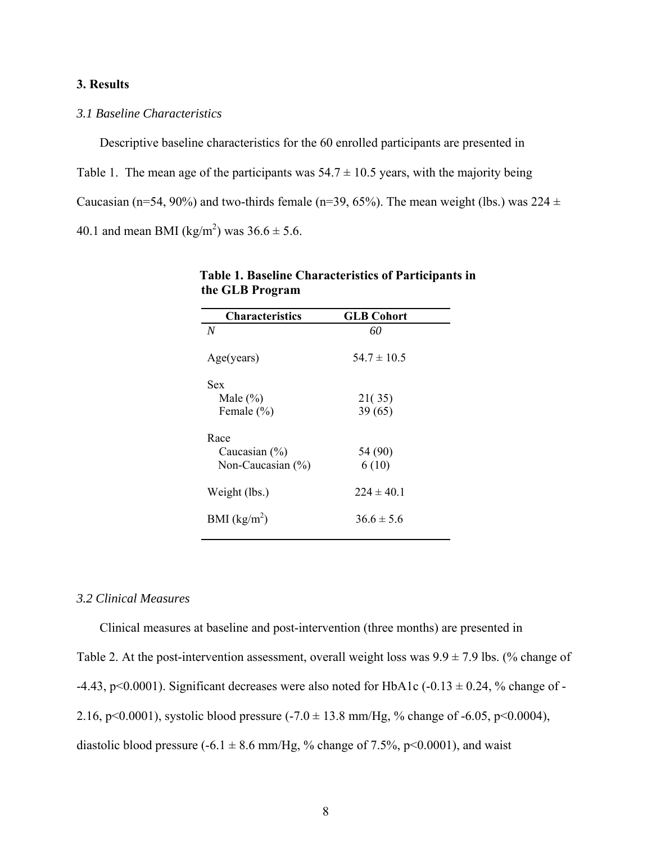### **3. Results**

# *3.1 Baseline Characteristics*

Descriptive baseline characteristics for the 60 enrolled participants are presented in Table 1. The mean age of the participants was  $54.7 \pm 10.5$  years, with the majority being Caucasian (n=54, 90%) and two-thirds female (n=39, 65%). The mean weight (lbs.) was  $224 \pm$ 40.1 and mean BMI (kg/m<sup>2</sup>) was  $36.6 \pm 5.6$ .

| <b>GLB Cohort</b> |  |
|-------------------|--|
| 60                |  |
| $54.7 \pm 10.5$   |  |
|                   |  |
| 21(35)            |  |
| 39(65)            |  |
| 54 (90)<br>6(10)  |  |
| $224 \pm 40.1$    |  |
| $366 \pm 56$      |  |
|                   |  |

 **Table 1. Baseline Characteristics of Participants in the GLB Program** 

# *3.2 Clinical Measures*

Clinical measures at baseline and post-intervention (three months) are presented in

Table 2. At the post-intervention assessment, overall weight loss was  $9.9 \pm 7.9$  lbs. (% change of

-4.43, p<0.0001). Significant decreases were also noted for HbA1c (-0.13  $\pm$  0.24, % change of -

2.16, p<0.0001), systolic blood pressure  $(-7.0 \pm 13.8 \text{ mm/Hg}, %$  change of  $-6.05$ , p<0.0004),

diastolic blood pressure (-6.1  $\pm$  8.6 mm/Hg, % change of 7.5%, p<0.0001), and waist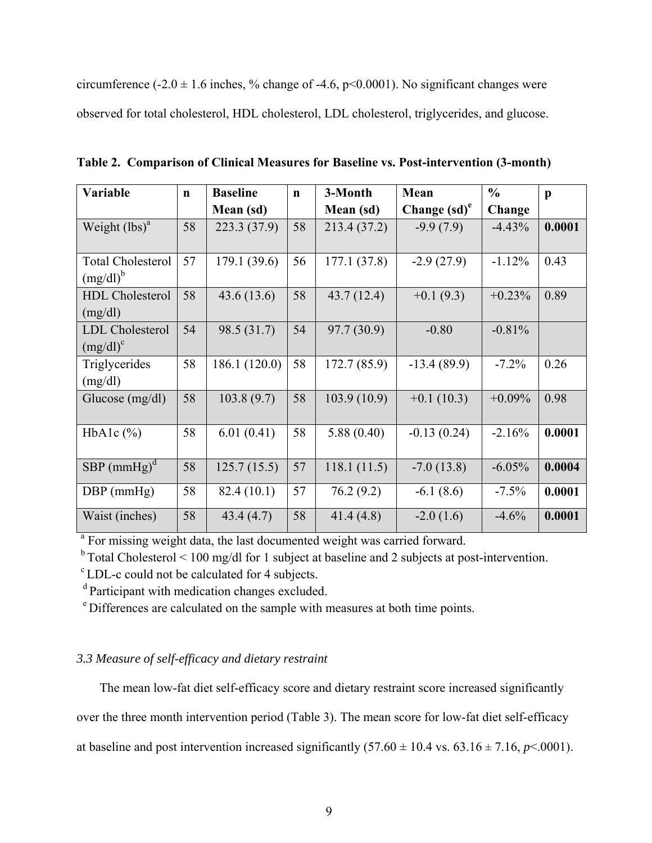circumference (-2.0  $\pm$  1.6 inches, % change of -4.6, p<0.0001). No significant changes were observed for total cholesterol, HDL cholesterol, LDL cholesterol, triglycerides, and glucose.

| <b>Variable</b>           | $\mathbf n$ | <b>Baseline</b> | $\mathbf n$ | 3-Month      | Mean                              | $\frac{0}{0}$ | $\mathbf{p}$ |
|---------------------------|-------------|-----------------|-------------|--------------|-----------------------------------|---------------|--------------|
|                           |             | Mean (sd)       |             | Mean (sd)    | Change $\left(\text{sd}\right)^e$ | Change        |              |
| Weight $(lbs)^a$          | 58          | 223.3 (37.9)    | 58          | 213.4 (37.2) | $-9.9(7.9)$                       | $-4.43%$      | 0.0001       |
|                           |             |                 |             |              |                                   |               |              |
| <b>Total Cholesterol</b>  | 57          | 179.1 (39.6)    | 56          | 177.1(37.8)  | $-2.9(27.9)$                      | $-1.12%$      | 0.43         |
| $(mg/dl)^b$               |             |                 |             |              |                                   |               |              |
| <b>HDL</b> Cholesterol    | 58          | 43.6(13.6)      | 58          | 43.7(12.4)   | $+0.1(9.3)$                       | $+0.23%$      | 0.89         |
| (mg/dl)                   |             |                 |             |              |                                   |               |              |
| <b>LDL</b> Cholesterol    | 54          | 98.5 (31.7)     | 54          | 97.7 (30.9)  | $-0.80$                           | $-0.81%$      |              |
| $(mg/dl)^c$               |             |                 |             |              |                                   |               |              |
| Triglycerides             | 58          | 186.1 (120.0)   | 58          | 172.7 (85.9) | $-13.4(89.9)$                     | $-7.2%$       | 0.26         |
| (mg/dl)                   |             |                 |             |              |                                   |               |              |
| Glucose $(mg/dl)$         | 58          | 103.8(9.7)      | 58          | 103.9(10.9)  | $+0.1(10.3)$                      | $+0.09%$      | 0.98         |
|                           |             |                 |             |              |                                   |               |              |
| HbA1c $(\%)$              | 58          | 6.01(0.41)      | 58          | 5.88(0.40)   | $-0.13(0.24)$                     | $-2.16%$      | 0.0001       |
|                           |             |                 |             |              |                                   |               |              |
| $SBP$ (mmHg) <sup>d</sup> | 58          | 125.7(15.5)     | 57          | 118.1(11.5)  | $-7.0(13.8)$                      | $-6.05%$      | 0.0004       |
| $DBP$ (mmHg)              | 58          | 82.4(10.1)      | 57          | 76.2(9.2)    | $-6.1(8.6)$                       | $-7.5%$       | 0.0001       |
|                           |             |                 |             |              |                                   |               |              |
| Waist (inches)            | 58          | 43.4(4.7)       | 58          | 41.4(4.8)    | $-2.0(1.6)$                       | $-4.6%$       | 0.0001       |

**Table 2. Comparison of Clinical Measures for Baseline vs. Post-intervention (3-month)**

<sup>a</sup> For missing weight data, the last documented weight was carried forward.<br><sup>b</sup> Total Cholesterol < 100 mg/dl for 1 subject at baseline and 2 subjects at post-intervention.

c LDL-c could not be calculated for 4 subjects.

d Participant with medication changes excluded.

e Differences are calculated on the sample with measures at both time points.

# *3.3 Measure of self-efficacy and dietary restraint*

The mean low-fat diet self-efficacy score and dietary restraint score increased significantly

over the three month intervention period (Table 3). The mean score for low-fat diet self-efficacy

at baseline and post intervention increased significantly  $(57.60 \pm 10.4 \text{ vs. } 63.16 \pm 7.16, p < .0001)$ .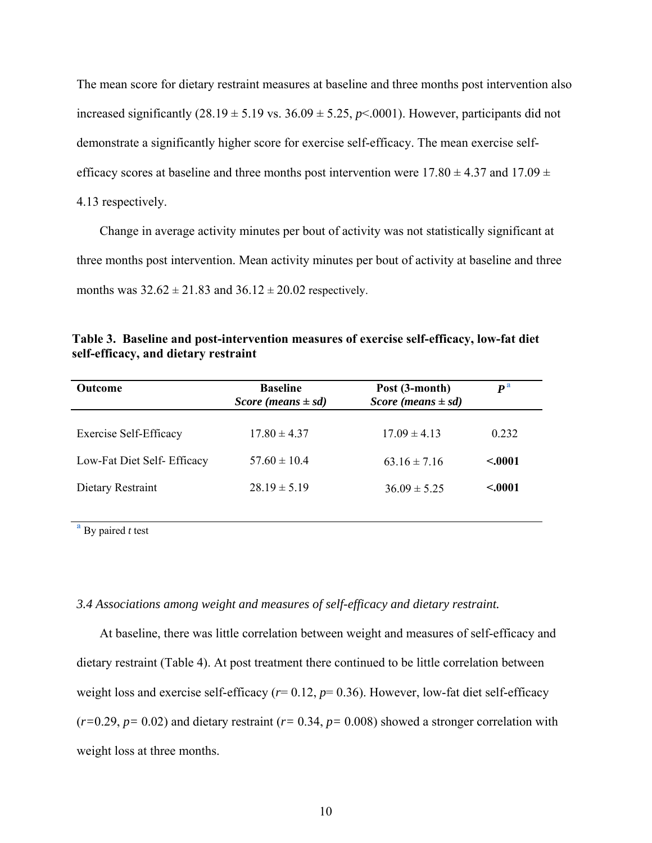The mean score for dietary restraint measures at baseline and three months post intervention also increased significantly  $(28.19 \pm 5.19 \text{ vs. } 36.09 \pm 5.25, p < 0.001)$ . However, participants did not demonstrate a significantly higher score for exercise self-efficacy. The mean exercise selfefficacy scores at baseline and three months post intervention were  $17.80 \pm 4.37$  and  $17.09 \pm 2.09$ 4.13 respectively.

 Change in average activity minutes per bout of activity was not statistically significant at three months post intervention. Mean activity minutes per bout of activity at baseline and three months was  $32.62 \pm 21.83$  and  $36.12 \pm 20.02$  respectively.

| Table 3. Baseline and post-intervention measures of exercise self-efficacy, low-fat diet |  |  |
|------------------------------------------------------------------------------------------|--|--|
| self-efficacy, and dietary restraint                                                     |  |  |

| <b>Outcome</b>              | <b>Baseline</b><br>Post (3-month)<br>Score (means $\pm sd$ )<br>Score (means $\pm sd$ ) |                  | $P^{\rm a}$ |  |
|-----------------------------|-----------------------------------------------------------------------------------------|------------------|-------------|--|
| Exercise Self-Efficacy      | $17.80 \pm 4.37$                                                                        | $17.09 \pm 4.13$ | 0.232       |  |
| Low-Fat Diet Self- Efficacy | $57.60 \pm 10.4$                                                                        | $63.16 \pm 7.16$ | < 0001      |  |
| Dietary Restraint           | $28.19 \pm 5.19$                                                                        | $36.09 \pm 5.25$ | < 0001      |  |
|                             |                                                                                         |                  |             |  |

**<sup>a</sup>** By paired *t* test

#### *3.4 Associations among weight and measures of self-efficacy and dietary restraint.*

At baseline, there was little correlation between weight and measures of self-efficacy and dietary restraint (Table 4). At post treatment there continued to be little correlation between weight loss and exercise self-efficacy ( $r= 0.12$ ,  $p= 0.36$ ). However, low-fat diet self-efficacy (*r=*0.29, *p=* 0.02) and dietary restraint (*r=* 0.34, *p=* 0.008) showed a stronger correlation with weight loss at three months.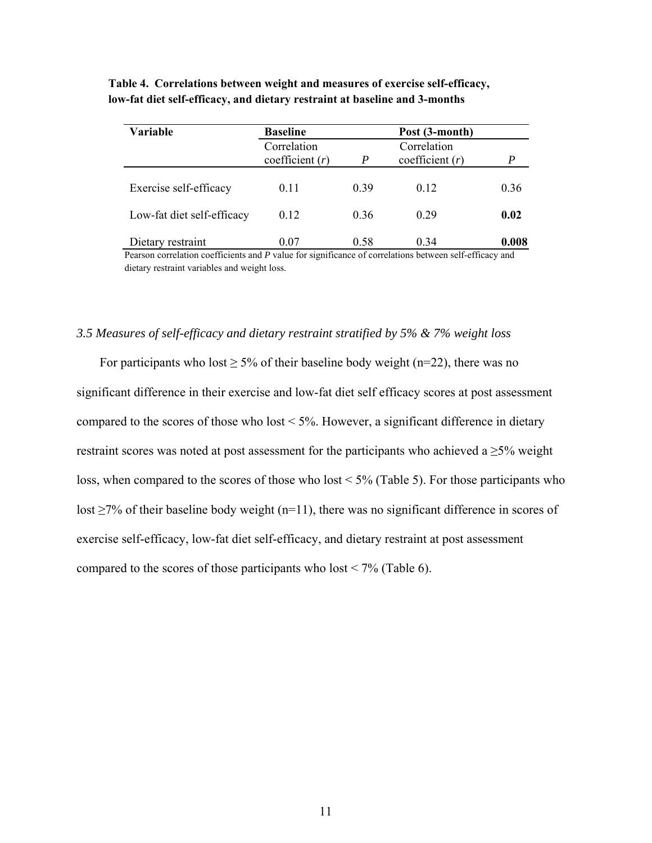| <b>Variable</b>            | <b>Baseline</b>                  |                  | Post (3-month)                   |       |  |
|----------------------------|----------------------------------|------------------|----------------------------------|-------|--|
|                            | Correlation<br>coefficient $(r)$ | $\boldsymbol{P}$ | Correlation<br>coefficient $(r)$ | P     |  |
| Exercise self-efficacy     | 0.11                             | 0.39             | 0.12                             | 0.36  |  |
| Low-fat diet self-efficacy | 0.12                             | 0.36             | 0.29                             | 0.02  |  |
| Dietary restraint          | 0.07                             | 0.58             | 0.34                             | 0.008 |  |

 **Table 4. Correlations between weight and measures of exercise self-efficacy, low-fat diet self-efficacy, and dietary restraint at baseline and 3-months**

 Pearson correlation coefficients and *P* value for significance of correlations between self-efficacy and dietary restraint variables and weight loss.

### *3.5 Measures of self-efficacy and dietary restraint stratified by 5% & 7% weight loss*

For participants who lost  $\geq$  5% of their baseline body weight (n=22), there was no significant difference in their exercise and low-fat diet self efficacy scores at post assessment compared to the scores of those who lost  $\leq 5\%$ . However, a significant difference in dietary restraint scores was noted at post assessment for the participants who achieved a  $\geq$ 5% weight loss, when compared to the scores of those who lost < 5% (Table 5). For those participants who lost  $\geq$ 7% of their baseline body weight (n=11), there was no significant difference in scores of exercise self-efficacy, low-fat diet self-efficacy, and dietary restraint at post assessment compared to the scores of those participants who lost  $\leq 7\%$  (Table 6).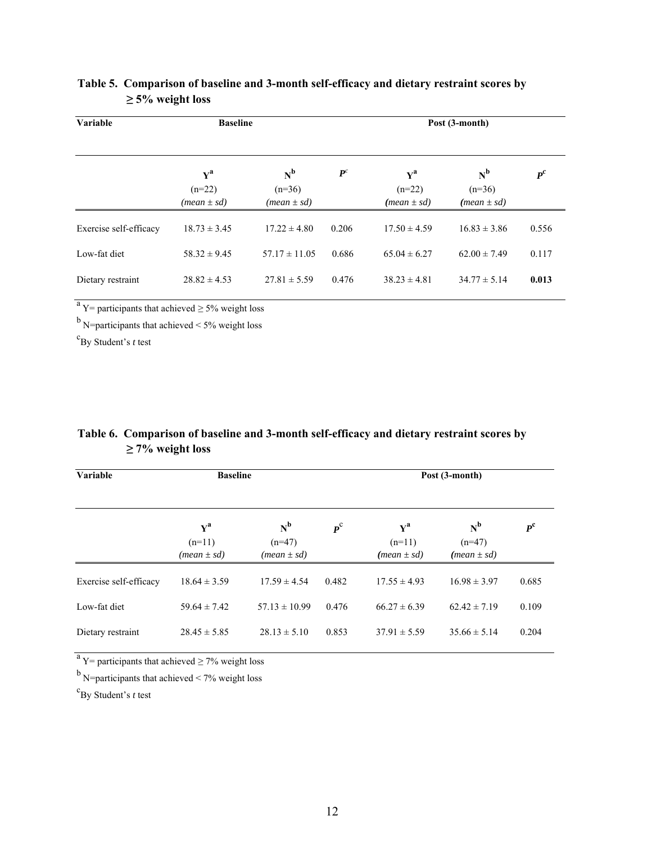| Variable               | <b>Baseline</b>                                                    |                                      | Post (3-month)       |                                                  |                                      |         |  |  |
|------------------------|--------------------------------------------------------------------|--------------------------------------|----------------------|--------------------------------------------------|--------------------------------------|---------|--|--|
|                        | ${\bf Y}^{\bf a}$<br>$(n=22)$<br>$(\textit{mean} \pm \textit{sd})$ | $N^b$<br>$(n=36)$<br>$(mean \pm sd)$ | ${\boldsymbol{P}}^c$ | ${\bf Y}^{\bf a}$<br>$(n=22)$<br>$(mean \pm sd)$ | $N^b$<br>$(n=36)$<br>$(mean \pm sd)$ | $P^{c}$ |  |  |
| Exercise self-efficacy | $18.73 \pm 3.45$                                                   | $17.22 \pm 4.80$                     | 0.206                | $17.50 \pm 4.59$                                 | $16.83 \pm 3.86$                     | 0.556   |  |  |
| Low-fat diet           | $58.32 \pm 9.45$                                                   | $57.17 \pm 11.05$                    | 0.686                | $65.04 \pm 6.27$                                 | $62.00 \pm 7.49$                     | 0.117   |  |  |
| Dietary restraint      | $28.82 \pm 4.53$                                                   | $27.81 \pm 5.59$                     | 0.476                | $38.23 \pm 4.81$                                 | $34.77 \pm 5.14$                     | 0.013   |  |  |

# **Table 5. Comparison of baseline and 3-month self-efficacy and dietary restraint scores by ≥ 5% weight loss**

 $a$  Y = participants that achieved  $\geq$  5% weight loss

 $<sup>b</sup>$  N=participants that achieved < 5% weight loss</sup>

c By Student's *t* test

# **Table 6. Comparison of baseline and 3-month self-efficacy and dietary restraint scores by ≥ 7% weight loss**

| Variable               | <b>Baseline</b>                                                    |                                      |                             |                                                  | Post (3-month)                       |             |  |  |
|------------------------|--------------------------------------------------------------------|--------------------------------------|-----------------------------|--------------------------------------------------|--------------------------------------|-------------|--|--|
|                        | ${\bf v}^{\bf a}$<br>$(n=11)$<br>$(\textit{mean} \pm \textit{sd})$ | $N^b$<br>$(n=47)$<br>$(mean \pm sd)$ | $\boldsymbol{p}^{\text{c}}$ | ${\bf v}^{\bf a}$<br>$(n=11)$<br>$(mean \pm sd)$ | $N^b$<br>$(n=47)$<br>$(mean \pm sd)$ | $P^{\rm c}$ |  |  |
| Exercise self-efficacy | $18.64 \pm 3.59$                                                   | $17.59 \pm 4.54$                     | 0.482                       | $17.55 \pm 4.93$                                 | $16.98 \pm 3.97$                     | 0.685       |  |  |
| Low-fat diet           | $59.64 \pm 7.42$                                                   | $57.13 \pm 10.99$                    | 0.476                       | $66.27 \pm 6.39$                                 | $62.42 \pm 7.19$                     | 0.109       |  |  |
| Dietary restraint      | $28.45 \pm 5.85$                                                   | $28.13 \pm 5.10$                     | 0.853                       | $37.91 \pm 5.59$                                 | $35.66 \pm 5.14$                     | 0.204       |  |  |

 $a$  Y = participants that achieved  $\geq$  7% weight loss

 $<sup>b</sup>$  N=participants that achieved < 7% weight loss</sup>

c By Student's *t* test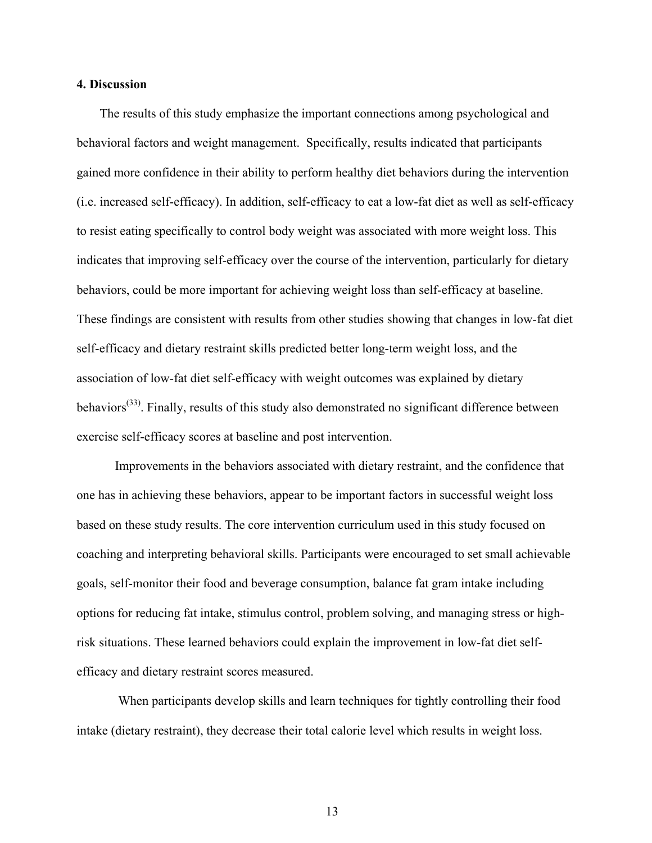#### **4. Discussion**

The results of this study emphasize the important connections among psychological and behavioral factors and weight management. Specifically, results indicated that participants gained more confidence in their ability to perform healthy diet behaviors during the intervention (i.e. increased self-efficacy). In addition, self-efficacy to eat a low-fat diet as well as self-efficacy to resist eating specifically to control body weight was associated with more weight loss. This indicates that improving self-efficacy over the course of the intervention, particularly for dietary behaviors, could be more important for achieving weight loss than self-efficacy at baseline. These findings are consistent with results from other studies showing that changes in low-fat diet self-efficacy and dietary restraint skills predicted better long-term weight loss, and the association of low-fat diet self-efficacy with weight outcomes was explained by dietary behaviors<sup>[\(33\)](#page-32-6)</sup>. Finally, results of this study also demonstrated no significant difference between exercise self-efficacy scores at baseline and post intervention.

Improvements in the behaviors associated with dietary restraint, and the confidence that one has in achieving these behaviors, appear to be important factors in successful weight loss based on these study results. The core intervention curriculum used in this study focused on coaching and interpreting behavioral skills. Participants were encouraged to set small achievable goals, self-monitor their food and beverage consumption, balance fat gram intake including options for reducing fat intake, stimulus control, problem solving, and managing stress or highrisk situations. These learned behaviors could explain the improvement in low-fat diet selfefficacy and dietary restraint scores measured.

 When participants develop skills and learn techniques for tightly controlling their food intake (dietary restraint), they decrease their total calorie level which results in weight loss.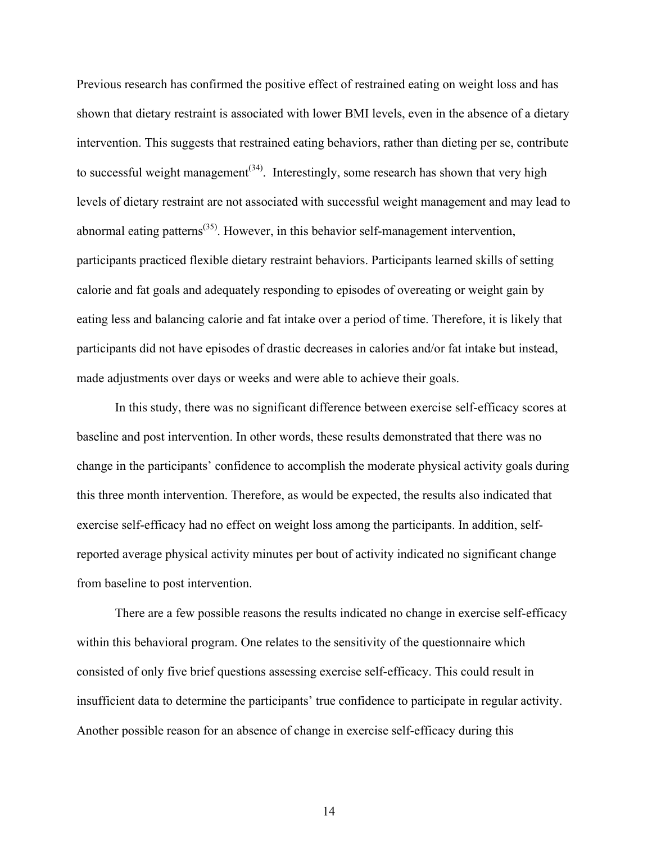Previous research has confirmed the positive effect of restrained eating on weight loss and has shown that dietary restraint is associated with lower BMI levels, even in the absence of a dietary intervention. This suggests that restrained eating behaviors, rather than dieting per se, contribute to successful weight management<sup> $(34)$ </sup>. Interestingly, some research has shown that very high levels of dietary restraint are not associated with successful weight management and may lead to abnormal eating patterns<sup>[\(35\)](#page-32-8)</sup>. However, in this behavior self-management intervention, participants practiced flexible dietary restraint behaviors. Participants learned skills of setting calorie and fat goals and adequately responding to episodes of overeating or weight gain by eating less and balancing calorie and fat intake over a period of time. Therefore, it is likely that participants did not have episodes of drastic decreases in calories and/or fat intake but instead, made adjustments over days or weeks and were able to achieve their goals.

In this study, there was no significant difference between exercise self-efficacy scores at baseline and post intervention. In other words, these results demonstrated that there was no change in the participants' confidence to accomplish the moderate physical activity goals during this three month intervention. Therefore, as would be expected, the results also indicated that exercise self-efficacy had no effect on weight loss among the participants. In addition, selfreported average physical activity minutes per bout of activity indicated no significant change from baseline to post intervention.

There are a few possible reasons the results indicated no change in exercise self-efficacy within this behavioral program. One relates to the sensitivity of the questionnaire which consisted of only five brief questions assessing exercise self-efficacy. This could result in insufficient data to determine the participants' true confidence to participate in regular activity. Another possible reason for an absence of change in exercise self-efficacy during this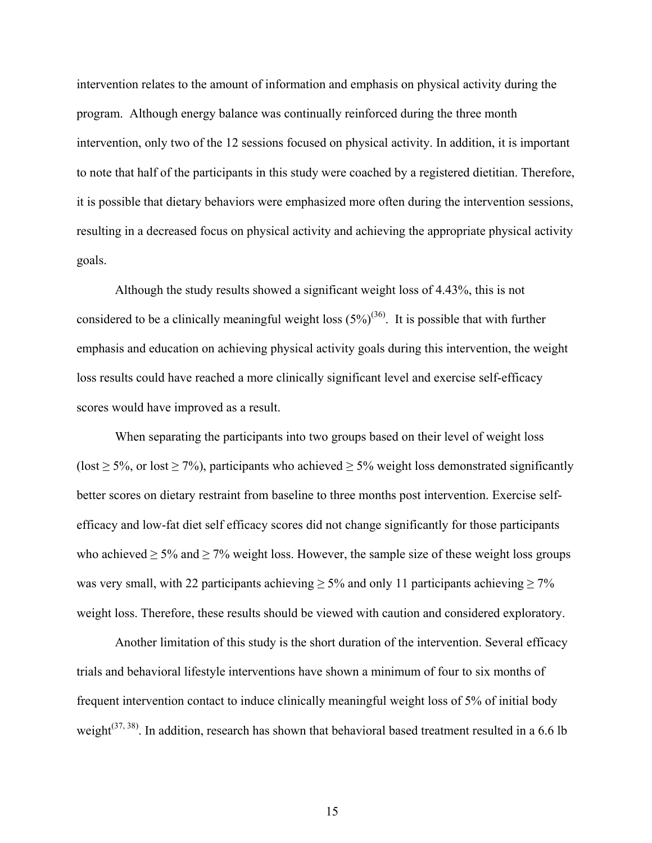intervention relates to the amount of information and emphasis on physical activity during the program. Although energy balance was continually reinforced during the three month intervention, only two of the 12 sessions focused on physical activity. In addition, it is important to note that half of the participants in this study were coached by a registered dietitian. Therefore, it is possible that dietary behaviors were emphasized more often during the intervention sessions, resulting in a decreased focus on physical activity and achieving the appropriate physical activity goals.

Although the study results showed a significant weight loss of 4.43%, this is not considered to be a clinically meaningful weight loss  $(5\%)^{(36)}$  $(5\%)^{(36)}$  $(5\%)^{(36)}$ . It is possible that with further emphasis and education on achieving physical activity goals during this intervention, the weight loss results could have reached a more clinically significant level and exercise self-efficacy scores would have improved as a result.

When separating the participants into two groups based on their level of weight loss (lost  $\geq$  5%, or lost  $\geq$  7%), participants who achieved  $\geq$  5% weight loss demonstrated significantly better scores on dietary restraint from baseline to three months post intervention. Exercise selfefficacy and low-fat diet self efficacy scores did not change significantly for those participants who achieved  $\geq$  5% and  $\geq$  7% weight loss. However, the sample size of these weight loss groups was very small, with 22 participants achieving  $\geq$  5% and only 11 participants achieving  $\geq$  7% weight loss. Therefore, these results should be viewed with caution and considered exploratory.

Another limitation of this study is the short duration of the intervention. Several efficacy trials and behavioral lifestyle interventions have shown a minimum of four to six months of frequent intervention contact to induce clinically meaningful weight loss of 5% of initial body weight<sup>[\(37,](#page-33-0) [38\)](#page-33-1)</sup>. In addition, research has shown that behavioral based treatment resulted in a 6.6 lb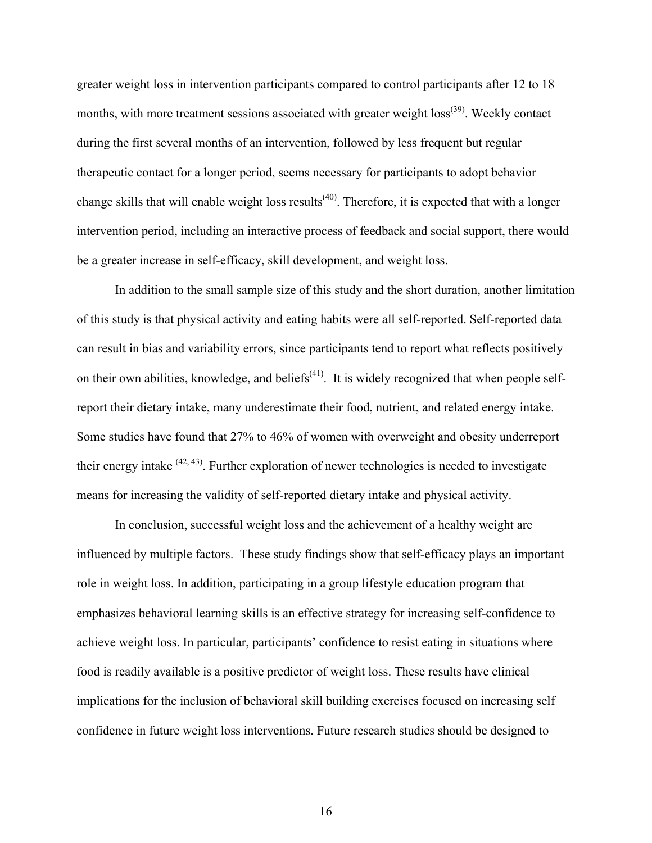greater weight loss in intervention participants compared to control participants after 12 to 18 months, with more treatment sessions associated with greater weight loss<sup>[\(39\)](#page-33-2)</sup>. Weekly contact during the first several months of an intervention, followed by less frequent but regular therapeutic contact for a longer period, seems necessary for participants to adopt behavior change skills that will enable weight loss results<sup>(40)</sup>. Therefore, it is expected that with a longer intervention period, including an interactive process of feedback and social support, there would be a greater increase in self-efficacy, skill development, and weight loss.

In addition to the small sample size of this study and the short duration, another limitation of this study is that physical activity and eating habits were all self-reported. Self-reported data can result in bias and variability errors, since participants tend to report what reflects positively on their own abilities, knowledge, and beliefs<sup> $(41)$ </sup>. It is widely recognized that when people selfreport their dietary intake, many underestimate their food, nutrient, and related energy intake. Some studies have found that 27% to 46% of women with overweight and obesity underreport their energy intake  $(42, 43)$  $(42, 43)$ . Further exploration of newer technologies is needed to investigate means for increasing the validity of self-reported dietary intake and physical activity.

In conclusion, successful weight loss and the achievement of a healthy weight are influenced by multiple factors. These study findings show that self-efficacy plays an important role in weight loss. In addition, participating in a group lifestyle education program that emphasizes behavioral learning skills is an effective strategy for increasing self-confidence to achieve weight loss. In particular, participants' confidence to resist eating in situations where food is readily available is a positive predictor of weight loss. These results have clinical implications for the inclusion of behavioral skill building exercises focused on increasing self confidence in future weight loss interventions. Future research studies should be designed to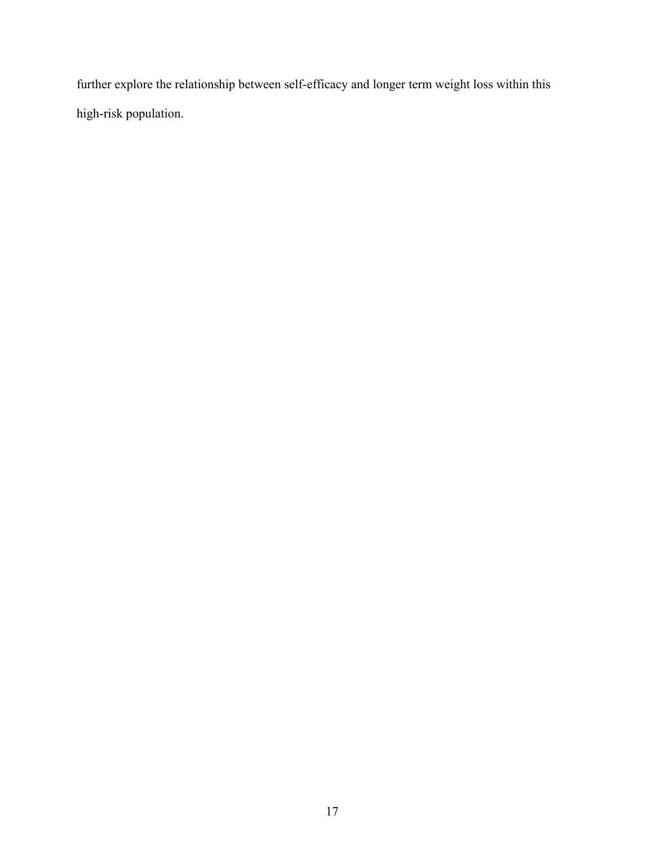further explore the relationship between self-efficacy and longer term weight loss within this high-risk population.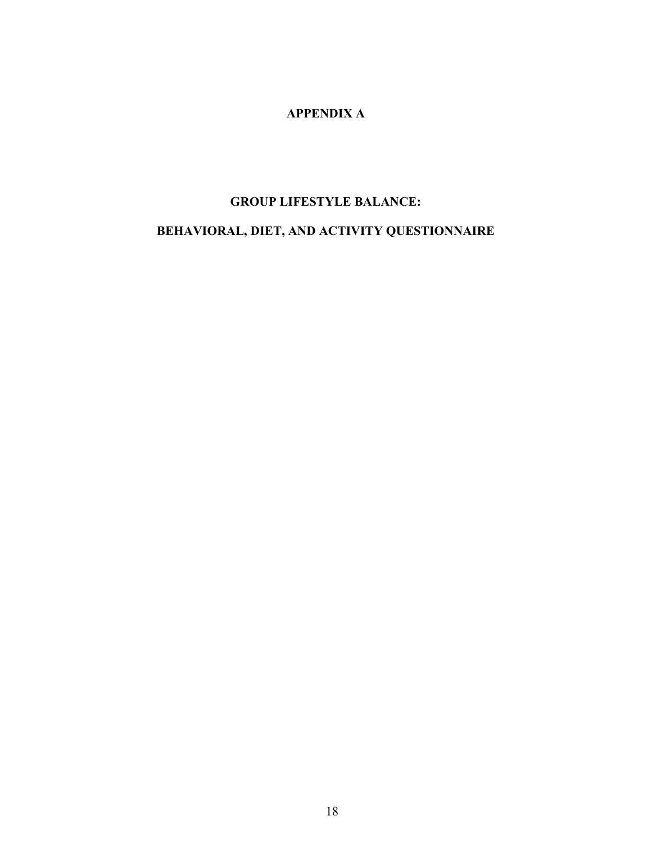# **APPENDIX A**

# **GROUP LIFESTYLE BALANCE:**

# **BEHAVIORAL, DIET, AND ACTIVITY QUESTIONNAIRE**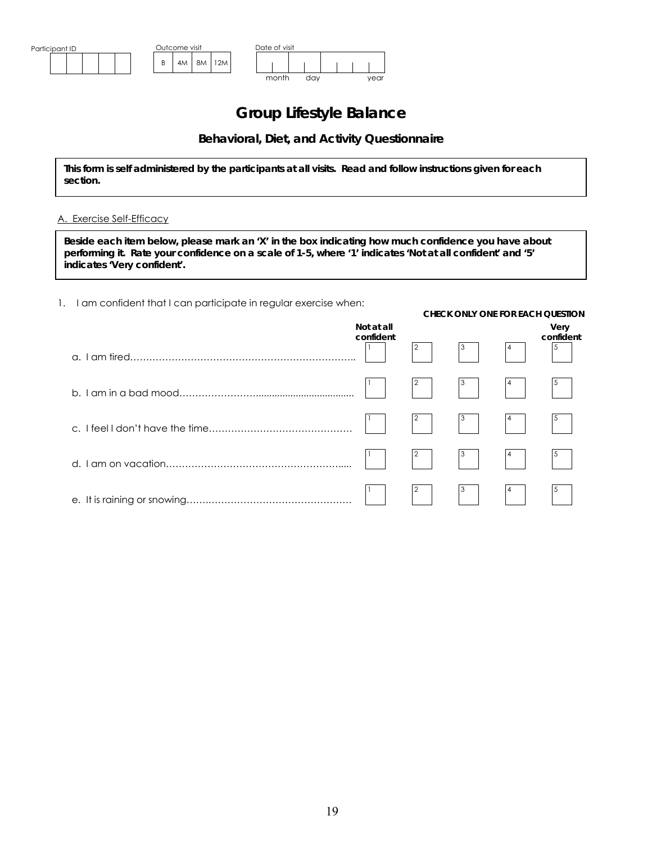

# **Group Lifestyle Balance**

# **Behavioral, Diet, and Activity Questionnaire**

**This form is self administered by the participants at all visits. Read and follow instructions given for each section.** 

#### A. Exercise Self-Efficacy

**Beside each item below, please mark an 'X' in the box indicating how much confidence you have about performing it. Rate your confidence on a scale of 1-5, where '1' indicates 'Not at all confident' and '5' indicates 'Very confident'.**

1. I am confident that I can participate in regular exercise when:

|                         |                |                                                                                                                                                                                                                                                                                                                                                                                                                                                               |   | <b>CHECK ONLY ONE FOR EACH QUESTION</b> |
|-------------------------|----------------|---------------------------------------------------------------------------------------------------------------------------------------------------------------------------------------------------------------------------------------------------------------------------------------------------------------------------------------------------------------------------------------------------------------------------------------------------------------|---|-----------------------------------------|
| Not at all<br>confident | $\overline{a}$ | $\begin{array}{ c c c }\n\hline\n3 & \phantom{2} & \phantom{2} \\ \hline\n\phantom{2} & \phantom{2} & \phantom{2} \\ \hline\n\phantom{2} & \phantom{2} & \phantom{2} \\ \hline\n\phantom{2} & \phantom{2} & \phantom{2} \\ \hline\n\phantom{2} & \phantom{2} & \phantom{2} \\ \hline\n\phantom{2} & \phantom{2} & \phantom{2} \\ \hline\n\phantom{2} & \phantom{2} & \phantom{2} \\ \hline\n\phantom{2} & \phantom{2} & \phantom{2} \\ \hline\n\phantom{2} &$ | 4 | Very<br>confident<br>$\frac{5}{ }$      |
|                         |                |                                                                                                                                                                                                                                                                                                                                                                                                                                                               |   |                                         |
|                         |                | $\overline{\mathbf{3}}$                                                                                                                                                                                                                                                                                                                                                                                                                                       |   |                                         |
|                         |                | $\overline{\mathbf{3}}$                                                                                                                                                                                                                                                                                                                                                                                                                                       |   |                                         |
|                         | $\overline{2}$ | $\overline{\mathbf{3}}$                                                                                                                                                                                                                                                                                                                                                                                                                                       |   |                                         |
|                         |                |                                                                                                                                                                                                                                                                                                                                                                                                                                                               |   |                                         |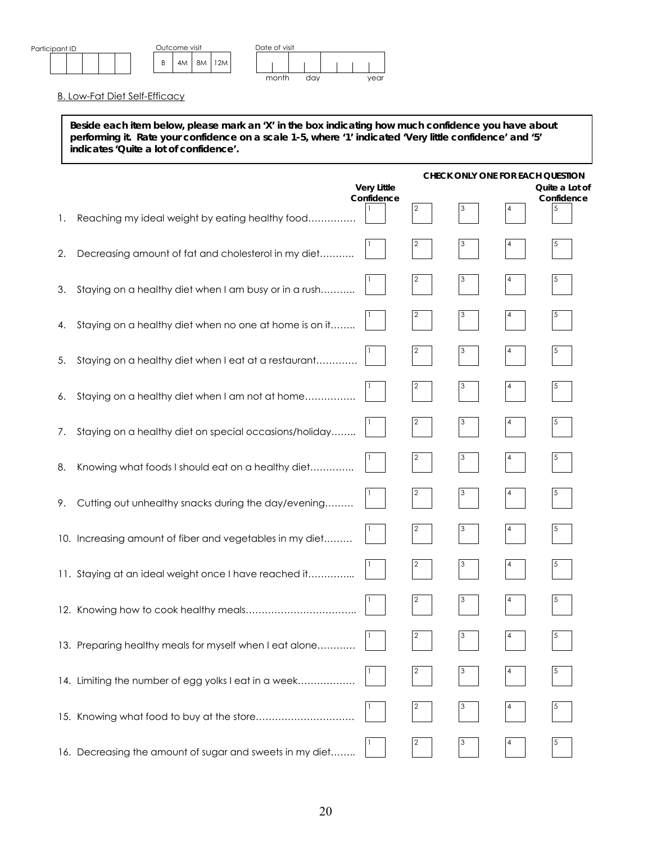

B. Low-Fat Diet Self-Efficacy

**Beside each item below, please mark an 'X' in the box indicating how much confidence you have about performing it. Rate your confidence on a scale 1-5, where '1' indicated 'Very little confidence' and '5' indicates 'Quite a lot of confidence'.** 

|    |                                                          |                    |                | CHECK ONLY ONE FOR EACH QUESTION |   |                 |
|----|----------------------------------------------------------|--------------------|----------------|----------------------------------|---|-----------------|
|    |                                                          | <b>Very Little</b> |                |                                  |   | Quite a Lot of  |
|    |                                                          | Confidence         | 2              |                                  | 4 | Confidence<br>5 |
| Τ. | Reaching my ideal weight by eating healthy food          |                    |                |                                  |   |                 |
| 2. | Decreasing amount of fat and cholesterol in my diet      |                    |                |                                  |   |                 |
|    |                                                          |                    |                |                                  |   |                 |
| 3. | Staying on a healthy diet when I am busy or in a rush    |                    |                |                                  |   |                 |
|    |                                                          |                    |                |                                  |   |                 |
| 4. | Staying on a healthy diet when no one at home is on it   |                    |                |                                  |   |                 |
|    |                                                          |                    | $\overline{2}$ |                                  |   | 5               |
| 5. | Staying on a healthy diet when I eat at a restaurant     |                    |                |                                  |   |                 |
| 6. | Staying on a healthy diet when I am not at home          |                    | 2              |                                  |   |                 |
|    |                                                          |                    |                |                                  |   |                 |
| 7. | Staying on a healthy diet on special occasions/holiday   |                    |                |                                  |   |                 |
|    |                                                          |                    |                |                                  |   |                 |
| 8. | Knowing what foods I should eat on a healthy diet        |                    |                |                                  |   |                 |
|    |                                                          |                    |                |                                  |   |                 |
| 9. | Cutting out unhealthy snacks during the day/evening      |                    |                |                                  |   |                 |
|    |                                                          |                    | 2              |                                  |   |                 |
|    | 10. Increasing amount of fiber and vegetables in my diet |                    |                |                                  |   |                 |
|    |                                                          |                    | $\mathbf{Z}$   |                                  |   |                 |
|    | 11. Staying at an ideal weight once I have reached it    |                    |                |                                  |   |                 |
|    |                                                          |                    |                |                                  |   |                 |
|    |                                                          |                    |                |                                  |   |                 |
|    | 13. Preparing healthy meals for myself when I eat alone  |                    | 2              | 3                                | 4 | 5               |
|    |                                                          |                    |                |                                  |   |                 |
|    | 14. Limiting the number of egg yolks I eat in a week     |                    |                |                                  |   |                 |
|    |                                                          |                    |                |                                  |   |                 |
|    | 15. Knowing what food to buy at the store                |                    |                |                                  |   |                 |
|    |                                                          |                    |                |                                  |   |                 |
|    | 16. Decreasing the amount of sugar and sweets in my diet |                    |                |                                  |   |                 |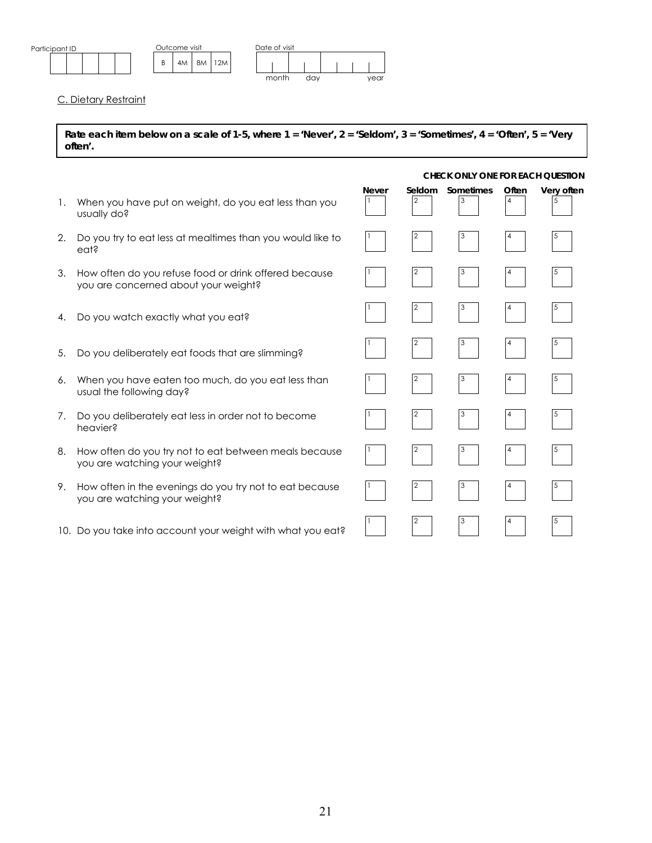

C. Dietary Restraint

**Rate each item below on a scale of 1-5, where 1 = 'Never', 2 = 'Seldom', 3 = 'Sometimes', 4 = 'Often', 5 = 'Very often'.** 

### *CHECK ONLY ONE FOR EACH QUESTION*

| 1. | When you have put on weight, do you eat less than you<br>usually do?                          | <b>Never</b> | Seldom<br>2 | Sometimes | Often | Very often |
|----|-----------------------------------------------------------------------------------------------|--------------|-------------|-----------|-------|------------|
| 2. | Do you try to eat less at mealtimes than you would like to<br>eat?                            |              |             |           |       |            |
| 3. | How often do you refuse food or drink offered because<br>you are concerned about your weight? |              |             |           |       |            |
| 4. | Do you watch exactly what you eat?                                                            |              |             |           |       |            |
| 5. | Do you deliberately eat foods that are slimming?                                              |              |             |           |       |            |
| 6. | When you have eaten too much, do you eat less than<br>usual the following day?                |              |             |           |       |            |
| 7. | Do you deliberately eat less in order not to become<br>heavier?                               |              | 2           |           |       |            |
| 8. | How often do you try not to eat between meals because<br>you are watching your weight?        |              |             |           |       |            |
| 9. | How often in the evenings do you try not to eat because<br>you are watching your weight?      |              |             |           |       |            |
|    | 10. Do you take into account your weight with what you eat?                                   |              |             |           |       |            |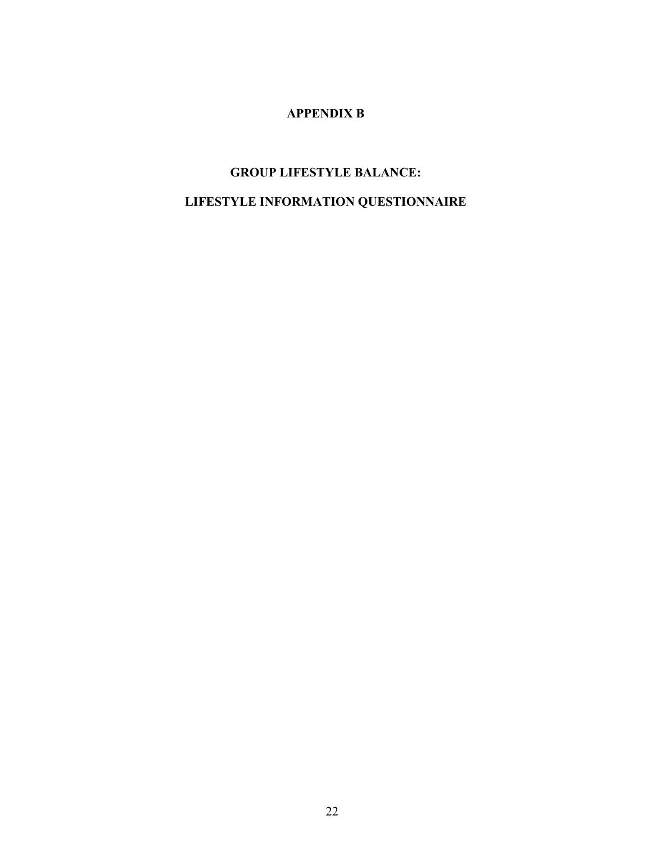# **APPENDIX B**

# **GROUP LIFESTYLE BALANCE: LIFESTYLE INFORMATION QUESTIONNAIRE**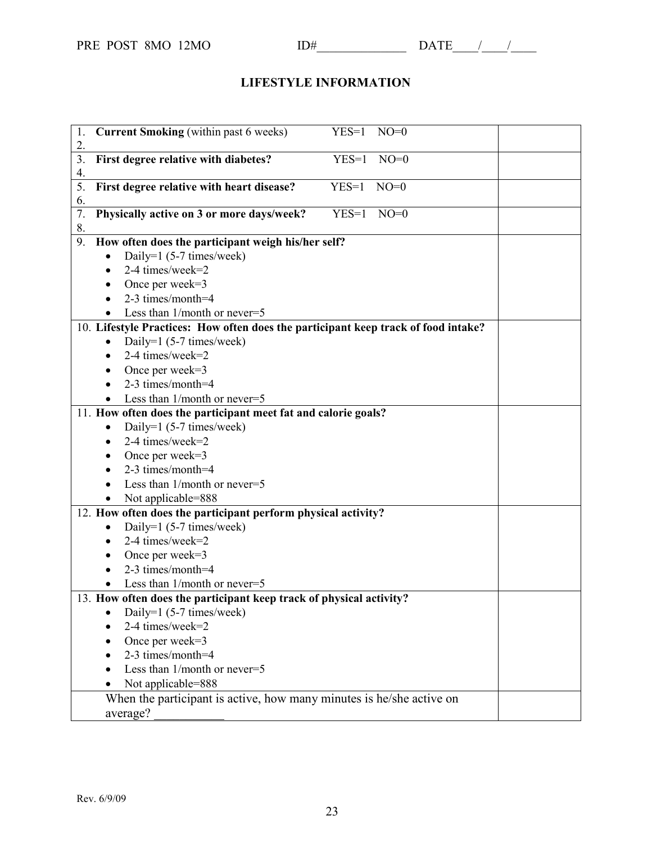# **LIFESTYLE INFORMATION**

| 1.<br>2.                                                                           | <b>Current Smoking</b> (within past 6 weeks)<br>$NO=0$<br>$YES=1$ |  |
|------------------------------------------------------------------------------------|-------------------------------------------------------------------|--|
| 3.                                                                                 | First degree relative with diabetes?<br>$YES=1$<br>$NO=0$         |  |
| 4.                                                                                 |                                                                   |  |
| 5.<br>6.                                                                           | First degree relative with heart disease?<br>$YES=1$<br>$NO=0$    |  |
| 7.<br>8.                                                                           | Physically active on 3 or more days/week?<br>$YES=1$<br>$NO=0$    |  |
| 9.<br>How often does the participant weigh his/her self?                           |                                                                   |  |
|                                                                                    | Daily=1 $(5-7 \times$ limes/week)                                 |  |
|                                                                                    | 2-4 times/week=2                                                  |  |
|                                                                                    | Once per week=3                                                   |  |
|                                                                                    | 2-3 times/month=4                                                 |  |
|                                                                                    | Less than $1/month$ or never=5                                    |  |
| 10. Lifestyle Practices: How often does the participant keep track of food intake? |                                                                   |  |
|                                                                                    | Daily=1 (5-7 times/week)                                          |  |
|                                                                                    | 2-4 times/week=2                                                  |  |
|                                                                                    | Once per week=3                                                   |  |
|                                                                                    | 2-3 times/month=4                                                 |  |
|                                                                                    | Less than $1/month$ or never=5                                    |  |
| 11. How often does the participant meet fat and calorie goals?                     |                                                                   |  |
|                                                                                    | Daily=1 $(5-7 \times$ limes/week)                                 |  |
|                                                                                    | 2-4 times/week=2                                                  |  |
|                                                                                    | Once per week=3                                                   |  |
|                                                                                    | $2-3$ times/month=4                                               |  |
|                                                                                    | Less than 1/month or never=5                                      |  |
|                                                                                    | Not applicable=888                                                |  |
| 12. How often does the participant perform physical activity?                      |                                                                   |  |
|                                                                                    | Daily=1 (5-7 times/week)<br>٠                                     |  |
|                                                                                    | 2-4 times/week=2<br>$\bullet$                                     |  |
|                                                                                    | Once per week=3                                                   |  |
|                                                                                    | 2-3 times/month=4                                                 |  |
|                                                                                    | Less than 1/month or never=5                                      |  |
| 13. How often does the participant keep track of physical activity?                |                                                                   |  |
|                                                                                    | Daily=1 (5-7 times/week)                                          |  |
|                                                                                    | 2-4 times/week=2                                                  |  |
|                                                                                    | Once per week=3                                                   |  |
|                                                                                    | 2-3 times/month=4                                                 |  |
|                                                                                    | Less than 1/month or never=5                                      |  |
|                                                                                    | Not applicable=888                                                |  |
| When the participant is active, how many minutes is he/she active on               |                                                                   |  |
| average?                                                                           |                                                                   |  |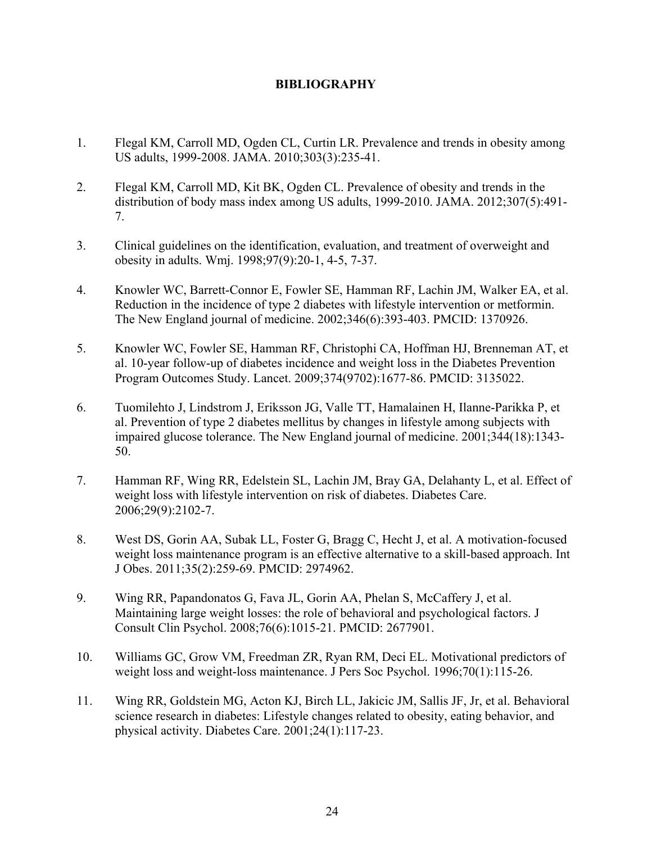# **BIBLIOGRAPHY**

- <span id="page-30-0"></span>1. Flegal KM, Carroll MD, Ogden CL, Curtin LR. Prevalence and trends in obesity among US adults, 1999-2008. JAMA. 2010;303(3):235-41.
- <span id="page-30-1"></span>2. Flegal KM, Carroll MD, Kit BK, Ogden CL. Prevalence of obesity and trends in the distribution of body mass index among US adults, 1999-2010. JAMA. 2012;307(5):491- 7.
- <span id="page-30-2"></span>3. Clinical guidelines on the identification, evaluation, and treatment of overweight and obesity in adults. Wmj. 1998;97(9):20-1, 4-5, 7-37.
- <span id="page-30-3"></span>4. Knowler WC, Barrett-Connor E, Fowler SE, Hamman RF, Lachin JM, Walker EA, et al. Reduction in the incidence of type 2 diabetes with lifestyle intervention or metformin. The New England journal of medicine. 2002;346(6):393-403. PMCID: 1370926.
- 5. Knowler WC, Fowler SE, Hamman RF, Christophi CA, Hoffman HJ, Brenneman AT, et al. 10-year follow-up of diabetes incidence and weight loss in the Diabetes Prevention Program Outcomes Study. Lancet. 2009;374(9702):1677-86. PMCID: 3135022.
- 6. Tuomilehto J, Lindstrom J, Eriksson JG, Valle TT, Hamalainen H, Ilanne-Parikka P, et al. Prevention of type 2 diabetes mellitus by changes in lifestyle among subjects with impaired glucose tolerance. The New England journal of medicine. 2001;344(18):1343- 50.
- 7. Hamman RF, Wing RR, Edelstein SL, Lachin JM, Bray GA, Delahanty L, et al. Effect of weight loss with lifestyle intervention on risk of diabetes. Diabetes Care. 2006;29(9):2102-7.
- <span id="page-30-4"></span>8. West DS, Gorin AA, Subak LL, Foster G, Bragg C, Hecht J, et al. A motivation-focused weight loss maintenance program is an effective alternative to a skill-based approach. Int J Obes. 2011;35(2):259-69. PMCID: 2974962.
- 9. Wing RR, Papandonatos G, Fava JL, Gorin AA, Phelan S, McCaffery J, et al. Maintaining large weight losses: the role of behavioral and psychological factors. J Consult Clin Psychol. 2008;76(6):1015-21. PMCID: 2677901.
- 10. Williams GC, Grow VM, Freedman ZR, Ryan RM, Deci EL. Motivational predictors of weight loss and weight-loss maintenance. J Pers Soc Psychol. 1996;70(1):115-26.
- <span id="page-30-5"></span>11. Wing RR, Goldstein MG, Acton KJ, Birch LL, Jakicic JM, Sallis JF, Jr, et al. Behavioral science research in diabetes: Lifestyle changes related to obesity, eating behavior, and physical activity. Diabetes Care. 2001;24(1):117-23.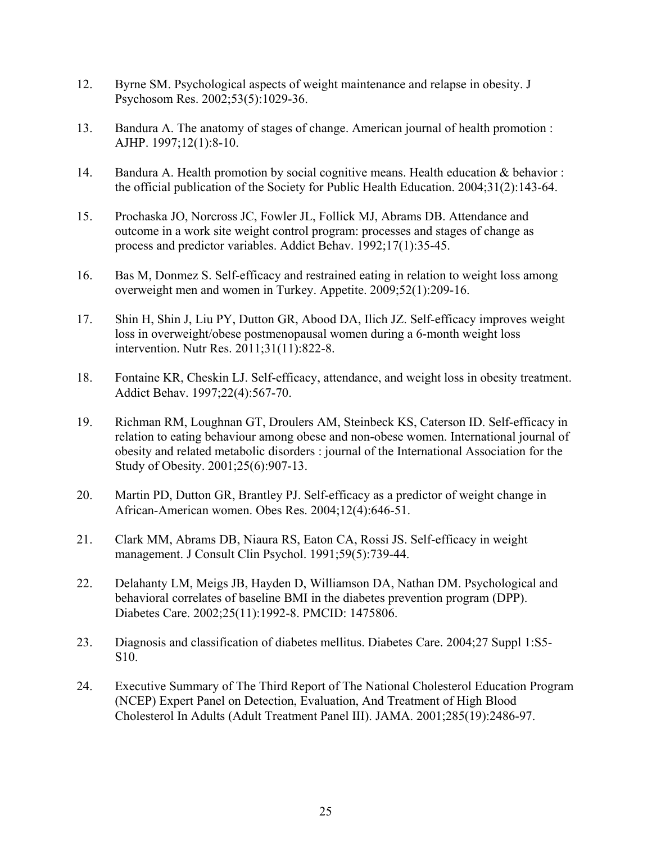- <span id="page-31-0"></span>12. Byrne SM. Psychological aspects of weight maintenance and relapse in obesity. J Psychosom Res. 2002;53(5):1029-36.
- <span id="page-31-1"></span>13. Bandura A. The anatomy of stages of change. American journal of health promotion : AJHP. 1997;12(1):8-10.
- <span id="page-31-2"></span>14. Bandura A. Health promotion by social cognitive means. Health education & behavior : the official publication of the Society for Public Health Education. 2004;31(2):143-64.
- <span id="page-31-3"></span>15. Prochaska JO, Norcross JC, Fowler JL, Follick MJ, Abrams DB. Attendance and outcome in a work site weight control program: processes and stages of change as process and predictor variables. Addict Behav. 1992;17(1):35-45.
- 16. Bas M, Donmez S. Self-efficacy and restrained eating in relation to weight loss among overweight men and women in Turkey. Appetite. 2009;52(1):209-16.
- 17. Shin H, Shin J, Liu PY, Dutton GR, Abood DA, Ilich JZ. Self-efficacy improves weight loss in overweight/obese postmenopausal women during a 6-month weight loss intervention. Nutr Res. 2011;31(11):822-8.
- <span id="page-31-4"></span>18. Fontaine KR, Cheskin LJ. Self-efficacy, attendance, and weight loss in obesity treatment. Addict Behav. 1997;22(4):567-70.
- <span id="page-31-5"></span>19. Richman RM, Loughnan GT, Droulers AM, Steinbeck KS, Caterson ID. Self-efficacy in relation to eating behaviour among obese and non-obese women. International journal of obesity and related metabolic disorders : journal of the International Association for the Study of Obesity. 2001;25(6):907-13.
- <span id="page-31-6"></span>20. Martin PD, Dutton GR, Brantley PJ. Self-efficacy as a predictor of weight change in African-American women. Obes Res. 2004;12(4):646-51.
- <span id="page-31-7"></span>21. Clark MM, Abrams DB, Niaura RS, Eaton CA, Rossi JS. Self-efficacy in weight management. J Consult Clin Psychol. 1991;59(5):739-44.
- <span id="page-31-8"></span>22. Delahanty LM, Meigs JB, Hayden D, Williamson DA, Nathan DM. Psychological and behavioral correlates of baseline BMI in the diabetes prevention program (DPP). Diabetes Care. 2002;25(11):1992-8. PMCID: 1475806.
- <span id="page-31-9"></span>23. Diagnosis and classification of diabetes mellitus. Diabetes Care. 2004;27 Suppl 1:S5- S10.
- <span id="page-31-10"></span>24. Executive Summary of The Third Report of The National Cholesterol Education Program (NCEP) Expert Panel on Detection, Evaluation, And Treatment of High Blood Cholesterol In Adults (Adult Treatment Panel III). JAMA. 2001;285(19):2486-97.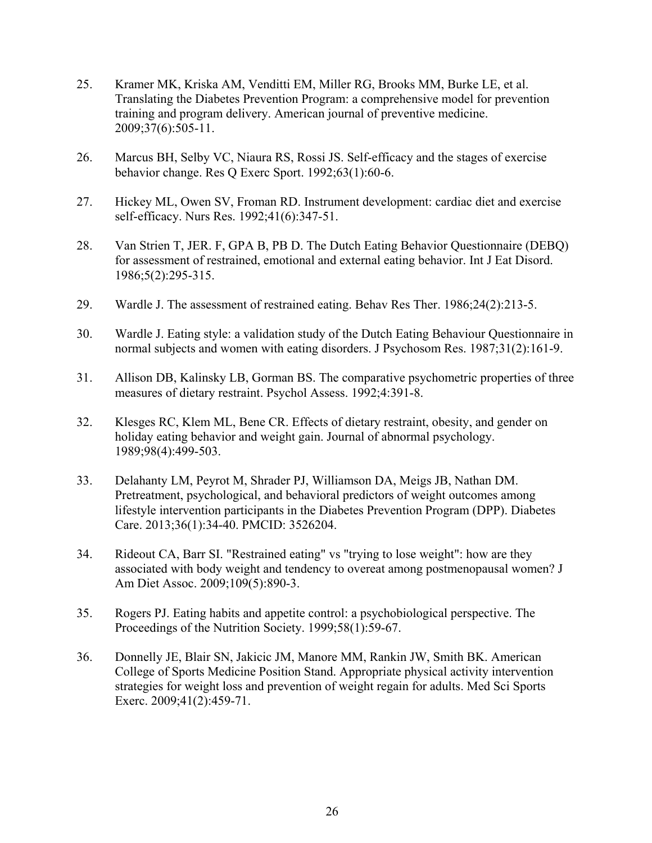- <span id="page-32-0"></span>25. Kramer MK, Kriska AM, Venditti EM, Miller RG, Brooks MM, Burke LE, et al. Translating the Diabetes Prevention Program: a comprehensive model for prevention training and program delivery. American journal of preventive medicine. 2009;37(6):505-11.
- <span id="page-32-1"></span>26. Marcus BH, Selby VC, Niaura RS, Rossi JS. Self-efficacy and the stages of exercise behavior change. Res Q Exerc Sport. 1992;63(1):60-6.
- <span id="page-32-2"></span>27. Hickey ML, Owen SV, Froman RD. Instrument development: cardiac diet and exercise self-efficacy. Nurs Res. 1992;41(6):347-51.
- <span id="page-32-3"></span>28. Van Strien T, JER. F, GPA B, PB D. The Dutch Eating Behavior Questionnaire (DEBQ) for assessment of restrained, emotional and external eating behavior. Int J Eat Disord. 1986;5(2):295-315.
- 29. Wardle J. The assessment of restrained eating. Behav Res Ther. 1986;24(2):213-5.
- 30. Wardle J. Eating style: a validation study of the Dutch Eating Behaviour Questionnaire in normal subjects and women with eating disorders. J Psychosom Res. 1987;31(2):161-9.
- <span id="page-32-4"></span>31. Allison DB, Kalinsky LB, Gorman BS. The comparative psychometric properties of three measures of dietary restraint. Psychol Assess. 1992;4:391-8.
- <span id="page-32-5"></span>32. Klesges RC, Klem ML, Bene CR. Effects of dietary restraint, obesity, and gender on holiday eating behavior and weight gain. Journal of abnormal psychology. 1989;98(4):499-503.
- <span id="page-32-6"></span>33. Delahanty LM, Peyrot M, Shrader PJ, Williamson DA, Meigs JB, Nathan DM. Pretreatment, psychological, and behavioral predictors of weight outcomes among lifestyle intervention participants in the Diabetes Prevention Program (DPP). Diabetes Care. 2013;36(1):34-40. PMCID: 3526204.
- <span id="page-32-7"></span>34. Rideout CA, Barr SI. "Restrained eating" vs "trying to lose weight": how are they associated with body weight and tendency to overeat among postmenopausal women? J Am Diet Assoc. 2009;109(5):890-3.
- <span id="page-32-8"></span>35. Rogers PJ. Eating habits and appetite control: a psychobiological perspective. The Proceedings of the Nutrition Society. 1999;58(1):59-67.
- <span id="page-32-9"></span>36. Donnelly JE, Blair SN, Jakicic JM, Manore MM, Rankin JW, Smith BK. American College of Sports Medicine Position Stand. Appropriate physical activity intervention strategies for weight loss and prevention of weight regain for adults. Med Sci Sports Exerc. 2009;41(2):459-71.